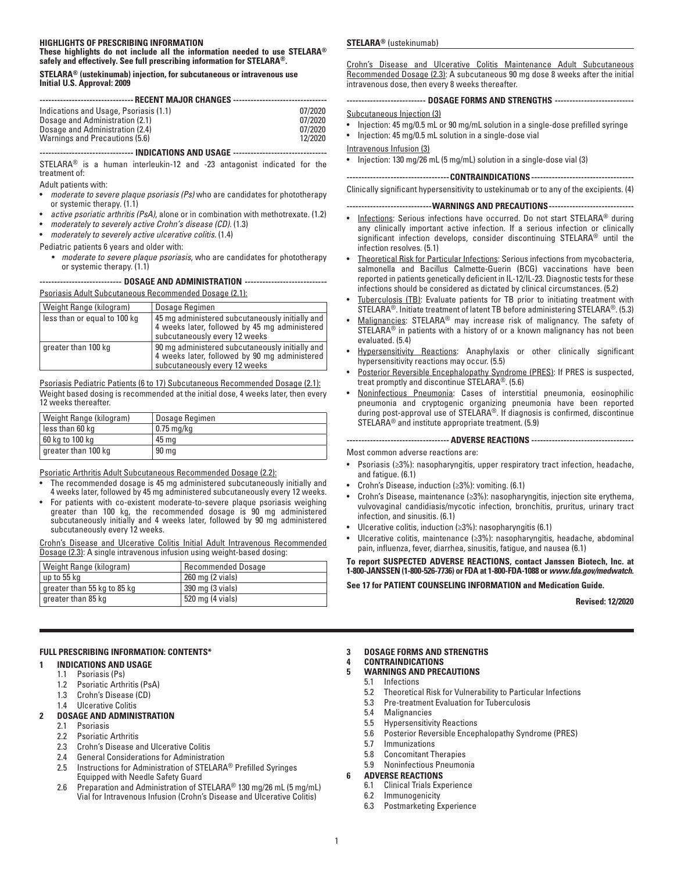#### **HIGHLIGHTS OF PRESCRIBING INFORMATION These highlights do not include all the information needed to use STELARA®**

**safely and effectively. See full prescribing information for STELARA®.**

#### **STELARA® (ustekinumab) injection, for subcutaneous or intravenous use Initial U.S. Approval: 2009**

| ------------------------------ RECENT MAJOR CHANGES ------------------------------     |         |  |  |  |
|----------------------------------------------------------------------------------------|---------|--|--|--|
|                                                                                        |         |  |  |  |
| Indications and Usage, Psoriasis (1.1)                                                 | 07/2020 |  |  |  |
| Dosage and Administration (2.1)                                                        | 07/2020 |  |  |  |
| Dosage and Administration (2.4)                                                        | 07/2020 |  |  |  |
| Warnings and Precautions (5.6)                                                         | 12/2020 |  |  |  |
| -------------------------------- INDICATIONS AND USAGE ------------------------------- |         |  |  |  |

STELARA® is a human interleukin-12 and -23 antagonist indicated for the treatment of:

Adult patients with:

- *moderate to severe plaque psoriasis (Ps)* who are candidates for phototherapy or systemic therapy. (1.1)
- *active psoriatic arthritis (PsA)*, alone or in combination with methotrexate. (1.2)
- *moderately to severely active Crohn's disease (CD).* (1.3)
- *moderately to severely active ulcerative colitis.* (1.4)

#### Pediatric patients 6 years and older with:

• *moderate to severe plaque psoriasis*, who are candidates for phototherapy or systemic therapy. (1.1)

**---------------------------- DOSAGE AND ADMINISTRATION ----------------------------**

Psoriasis Adult Subcutaneous Recommended Dosage (2.1):

| Weight Range (kilogram)      | Dosage Regimen                                                                                                                    |
|------------------------------|-----------------------------------------------------------------------------------------------------------------------------------|
| less than or equal to 100 kg | 45 mg administered subcutaneously initially and<br>4 weeks later, followed by 45 mg administered<br>subcutaneously every 12 weeks |
| greater than 100 kg          | 90 mg administered subcutaneously initially and<br>4 weeks later, followed by 90 mg administered<br>subcutaneously every 12 weeks |

Psoriasis Pediatric Patients (6 to 17) Subcutaneous Recommended Dosage (2.1): Weight based dosing is recommended at the initial dose, 4 weeks later, then every 12 weeks thereafter.

| Weight Range (kilogram) | Dosage Regimen     |
|-------------------------|--------------------|
| less than 60 kg         | $\vert$ 0.75 mg/kg |
| 60 kg to 100 kg         | 45 mg              |
| greater than 100 kg     | 90 <sub>mg</sub>   |

Psoriatic Arthritis Adult Subcutaneous Recommended Dosage (2.2):

- The recommended dosage is 45 mg administered subcutaneously initially and 4 weeks later, followed by 45 mg administered subcutaneously every 12 weeks.
- For patients with co-existent moderate-to-severe plaque psoriasis weighing greater than 100 kg, the recommended dosage is 90 mg administered subcutaneously initially and 4 weeks later, followed by 90 mg administered subcutaneously every 12 weeks.

Crohn's Disease and Ulcerative Colitis Initial Adult Intravenous Recommended Dosage (2.3): A single intravenous infusion using weight-based dosing:

| Weight Range (kilogram)     | Recommended Dosage |
|-----------------------------|--------------------|
| up to 55 kg                 | 260 mg (2 vials)   |
| greater than 55 kg to 85 kg | 390 mg (3 vials)   |
| greater than 85 kg          | 520 mg (4 vials)   |

## **FULL PRESCRIBING INFORMATION: CONTENTS\***

## **1 INDICATIONS AND USAGE**

- 1.1 Psoriasis (Ps)
- 1.2 Psoriatic Arthritis (PsA)
- 1.3 Crohn's Disease (CD)
- 1.4 Ulcerative Colitis

# **2 DOSAGE AND ADMINISTRATION**

- Psoriasis
- 2.2 Psoriatic Arthritis
- 2.3 Crohn's Disease and Ulcerative Colitis
- 2.4 General Considerations for Administration<br>2.5 Instructions for Administration of STELARA
- 2.5 Instructions for Administration of STELARA® Prefilled Syringes Equipped with Needle Safety Guard
- 2.6 Preparation and Administration of STELARA® 130 mg/26 mL (5 mg/mL) Vial for Intravenous Infusion (Crohn's Disease and Ulcerative Colitis)

### **STELARA®** (ustekinumab)

Crohn's Disease and Ulcerative Colitis Maintenance Adult Subcutaneous Recommended Dosage (2.3): A subcutaneous 90 mg dose 8 weeks after the initial intravenous dose, then every 8 weeks thereafter.

#### **--------------------------- DOSAGE FORMS AND STRENGTHS ---------------------------**

#### Subcutaneous Injection (3)

- Injection: 45 mg/0.5 mL or 90 mg/mL solution in a single-dose prefilled syringe
- Injection: 45 mg/0.5 mL solution in a single-dose vial
- Intravenous Infusion (3)

• Injection: 130 mg/26 mL (5 mg/mL) solution in a single-dose vial (3)

**-----------------------------------CONTRAINDICATIONS-----------------------------------**

Clinically significant hypersensitivity to ustekinumab or to any of the excipients. (4)

**-----------------------------WARNINGS AND PRECAUTIONS-----------------------------**

- Infections: Serious infections have occurred. Do not start STELARA® during any clinically important active infection. If a serious infection or clinically significant infection develops, consider discontinuing STELARA® until the infection resolves. (5.1)
- Theoretical Risk for Particular Infections: Serious infections from mycobacteria, salmonella and Bacillus Calmette-Guerin (BCG) vaccinations have been reported in patients genetically deficient in IL-12/IL-23. Diagnostic tests for these infections should be considered as dictated by clinical circumstances. (5.2)
- Tuberculosis (TB): Evaluate patients for TB prior to initiating treatment with STELARA®. Initiate treatment of latent TB before administering STELARA®. (5.3)
- Malignancies: STELARA® may increase risk of malignancy. The safety of STELARA<sup>®</sup> in patients with a history of or a known malignancy has not been evaluated. (5.4)
- Hypersensitivity Reactions: Anaphylaxis or other clinically significant hypersensitivity reactions may occur. (5.5)
- Posterior Reversible Encephalopathy Syndrome (PRES): If PRES is suspected, treat promptly and discontinue STELARA®. (5.6)
- Noninfectious Pneumonia: Cases of interstitial pneumonia, eosinophilic pneumonia and cryptogenic organizing pneumonia have been reported during post-approval use of STELARA®. If diagnosis is confirmed, discontinue STELARA® and institute appropriate treatment. (5.9)

**----------------------------------- ADVERSE REACTIONS -----------------------------------**

Most common adverse reactions are:

- Psoriasis (≥3%): nasopharyngitis, upper respiratory tract infection, headache, and fatigue. (6.1)
- Crohn's Disease, induction (≥3%): vomiting. (6.1)
- Crohn's Disease, maintenance (≥3%): nasopharyngitis, injection site erythema, vulvovaginal candidiasis/mycotic infection, bronchitis, pruritus, urinary tract infection, and sinusitis. (6.1)
- Ulcerative colitis, induction (≥3%): nasopharyngitis (6.1)
- Ulcerative colitis, maintenance (≥3%): nasopharyngitis, headache, abdominal pain, influenza, fever, diarrhea, sinusitis, fatigue, and nausea (6.1)

**To report SUSPECTED ADVERSE REACTIONS, contact Janssen Biotech, Inc. at 1-800-JANSSEN (1-800-526-7736) or FDA at 1-800-FDA-1088 or** *www.fda.gov/medwatch.*

**See 17 for PATIENT COUNSELING INFORMATION and Medication Guide.**

**Revised: 12/2020**

### **3 DOSAGE FORMS AND STRENGTHS**

## **4 CONTRAINDICATIONS**

- **5 WARNINGS AND PRECAUTIONS**
	- 5.1 Infections
	- 5.2 Theoretical Risk for Vulnerability to Particular Infections
	- 5.3 Pre-treatment Evaluation for Tuberculosis
	- 5.4 Malignancies
	- 5.5 Hypersensitivity Reactions
		- 5.6 Posterior Reversible Encephalopathy Syndrome (PRES)
	- **Immunizations**
	- 5.8 Concomitant Therapies
	- 5.9 Noninfectious Pneumonia

#### **6 ADVERSE REACTIONS**

- 6.1 Clinical Trials Experience
- 6.2 Immunogenicity
- 6.3 Postmarketing Experience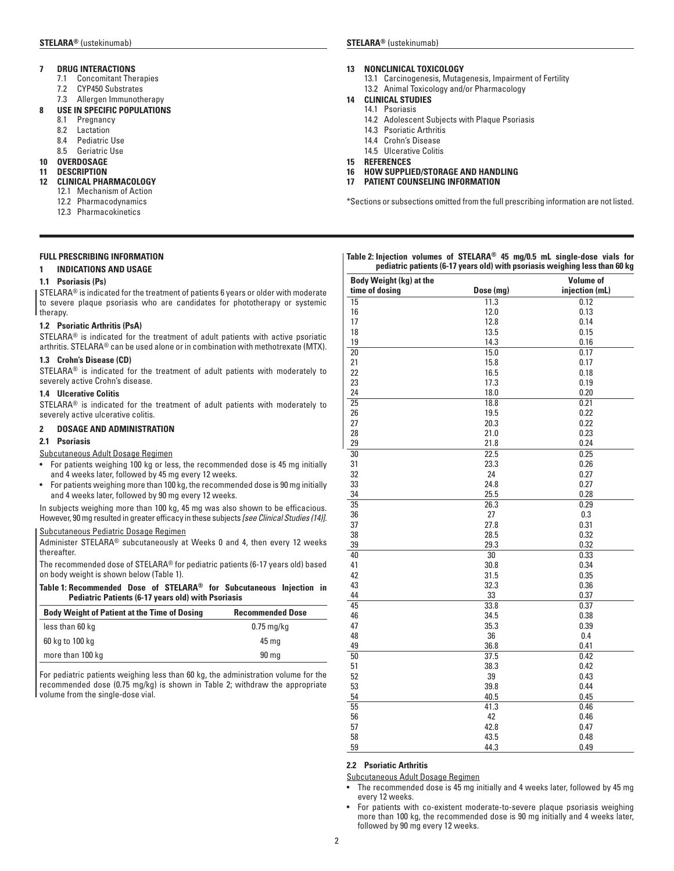- **7 DRUG INTERACTIONS**
	- 7.1 Concomitant Therapies
	- 7.2 CYP450 Substrates
	- 7.3 Allergen Immunotherapy

### **8 USE IN SPECIFIC POPULATIONS**

- 8.1 Pregnancy
- 8.2 Lactation
- 8.4 Pediatric Use
- 8.5 Geriatric Use

## **10 OVERDOSAGE**

**11 DESCRIPTION**

## **12 CLINICAL PHARMACOLOGY**

- 12.1 Mechanism of Action
- 12.2 Pharmacodynamics
- 12.3 Pharmacokinetics

### **FULL PRESCRIBING INFORMATION**

#### **1 INDICATIONS AND USAGE**

#### **1.1 Psoriasis (Ps)**

STELARA® is indicated for the treatment of patients 6 years or older with moderate to severe plaque psoriasis who are candidates for phototherapy or systemic therapy.

#### **1.2 Psoriatic Arthritis (PsA)**

STELARA® is indicated for the treatment of adult patients with active psoriatic arthritis. STELARA® can be used alone or in combination with methotrexate (MTX).

#### **1.3 Crohn's Disease (CD)**

STELARA® is indicated for the treatment of adult patients with moderately to severely active Crohn's disease.

#### **1.4 Ulcerative Colitis**

STELARA® is indicated for the treatment of adult patients with moderately to severely active ulcerative colitis.

#### **2 DOSAGE AND ADMINISTRATION**

#### **2.1 Psoriasis**

Subcutaneous Adult Dosage Regimen

- For patients weighing 100 kg or less, the recommended dose is 45 mg initially and 4 weeks later, followed by 45 mg every 12 weeks.
- For patients weighing more than 100 kg, the recommended dose is 90 mg initially and 4 weeks later, followed by 90 mg every 12 weeks.

In subjects weighing more than 100 kg, 45 mg was also shown to be efficacious. However, 90 mg resulted in greater efficacy in these subjects *[see Clinical Studies (14)].*

## Subcutaneous Pediatric Dosage Regimen

Administer STELARA® subcutaneously at Weeks 0 and 4, then every 12 weeks thereafter.

The recommended dose of STELARA® for pediatric patients (6-17 years old) based on body weight is shown below (Table 1).

**Table 1: Recommended Dose of STELARA® for Subcutaneous Injection in Pediatric Patients (6-17 years old) with Psoriasis**

| <b>Body Weight of Patient at the Time of Dosing</b> | <b>Recommended Dose</b> |
|-----------------------------------------------------|-------------------------|
| less than 60 kg                                     | $0.75$ mg/kg            |
| 60 kg to 100 kg                                     | 45 ma                   |
| more than 100 kg                                    | 90 <sub>mg</sub>        |

For pediatric patients weighing less than 60 kg, the administration volume for the recommended dose (0.75 mg/kg) is shown in Table 2; withdraw the appropriate volume from the single-dose vial.

#### **13 NONCLINICAL TOXICOLOGY**

13.1 Carcinogenesis, Mutagenesis, Impairment of Fertility 13.2 Animal Toxicology and/or Pharmacology

#### **14 CLINICAL STUDIES**

- 14.1 Psoriasis
	- 14.2 Adolescent Subjects with Plaque Psoriasis
	- 14.3 Psoriatic Arthritis
	- 14.4 Crohn's Disease
- 14.5 Ulcerative Colitis
- **15 REFERENCES**
- **16 HOW SUPPLIED/STORAGE AND HANDLING**
- **17 PATIENT COUNSELING INFORMATION**

\*Sections or subsections omitted from the full prescribing information are not listed.

#### **Table 2: Injection volumes of STELARA® 45 mg/0.5 mL single-dose vials for pediatric patients (6-17 years old) with psoriasis weighing less than 60 kg**

| Body Weight (kg) at the<br>time of dosing | Dose (mg) | <b>Volume of</b><br>injection (mL) |
|-------------------------------------------|-----------|------------------------------------|
| 15                                        | 11.3      | 0.12                               |
| 16                                        | 12.0      | 0.13                               |
| 17                                        | 12.8      | 0.14                               |
| 18                                        | 13.5      | 0.15                               |
| 19                                        | 14.3      | 0.16                               |
| $\overline{20}$                           | 15.0      | 0.17                               |
| 21                                        | 15.8      | 0.17                               |
| 22                                        | 16.5      | 0.18                               |
| 23                                        | 17.3      | 0.19                               |
| 24                                        | 18.0      | 0.20                               |
| $\overline{25}$                           | 18.8      | 0.21                               |
| 26                                        | 19.5      | 0.22                               |
| 27                                        | 20.3      | 0.22                               |
| 28                                        | 21.0      | 0.23                               |
| 29                                        | 21.8      | 0.24                               |
| 30                                        | 22.5      | 0.25                               |
| 31                                        | 23.3      | 0.26                               |
| 32                                        | 24        | 0.27                               |
| 33                                        | 24.8      | 0.27                               |
| 34                                        | 25.5      | 0.28                               |
| 35                                        | 26.3      | 0.29                               |
| 36                                        | 27        | 0.3                                |
| 37                                        | 27.8      | 0.31                               |
| 38                                        | 28.5      | 0.32                               |
| 39                                        | 29.3      | 0.32                               |
| 40                                        | 30        | 0.33                               |
| 41                                        | 30.8      | 0.34                               |
| 42                                        | 31.5      | 0.35                               |
| 43                                        | 32.3      | 0.36                               |
| 44                                        | 33        | 0.37                               |
| 45                                        | 33.8      | 0.37                               |
| 46                                        | 34.5      | 0.38                               |
| 47                                        | 35.3      | 0.39                               |
| 48                                        | 36        | 0.4                                |
| 49                                        | 36.8      | 0.41                               |
| 50                                        | 37.5      | 0.42                               |
| 51                                        | 38.3      | 0.42                               |
| 52                                        | 39        | 0.43                               |
| 53                                        | 39.8      | 0.44                               |
| 54                                        | 40.5      | 0.45                               |
| 55                                        | 41.3      | 0.46                               |
| 56                                        | 42        | 0.46                               |
| 57                                        | 42.8      | 0.47                               |
| 58                                        | 43.5      | 0.48                               |
| 59                                        | 44.3      | 0.49                               |

#### **2.2 Psoriatic Arthritis**

Subcutaneous Adult Dosage Regimen

- The recommended dose is 45 mg initially and 4 weeks later, followed by 45 mg every 12 weeks.
- For patients with co-existent moderate-to-severe plaque psoriasis weighing more than 100 kg, the recommended dose is 90 mg initially and 4 weeks later, followed by 90 mg every 12 weeks.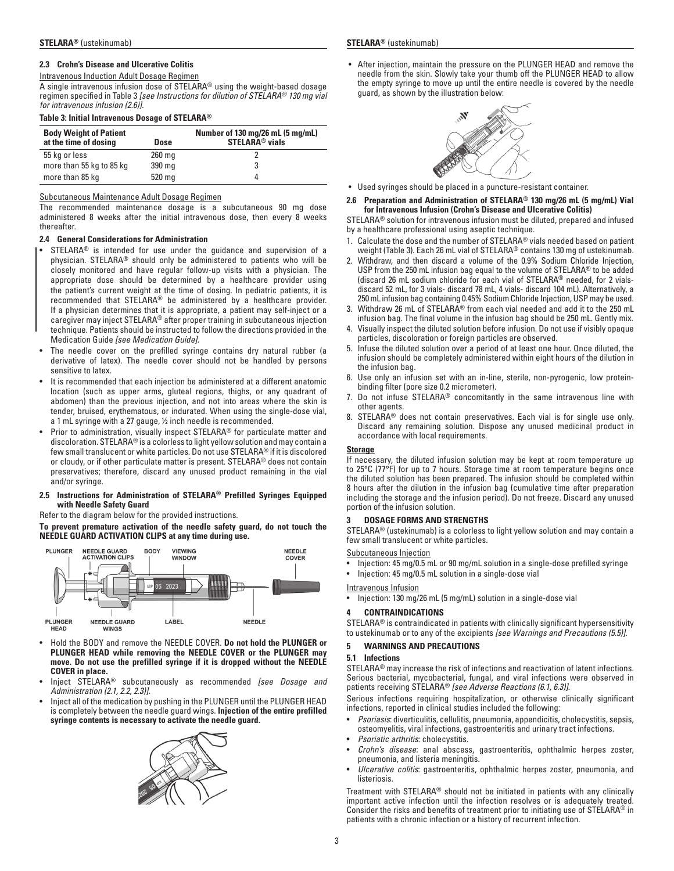#### **2.3 Crohn's Disease and Ulcerative Colitis**

Intravenous Induction Adult Dosage Regimen

A single intravenous infusion dose of STELARA® using the weight-based dosage regimen specified in Table 3 *[see Instructions for dilution of STELARA® 130 mg vial for intravenous infusion (2.6)].*

#### **Table 3: Initial Intravenous Dosage of STELARA®**

| <b>Body Weight of Patient</b><br>at the time of dosing | Dose     | Number of 130 mg/26 mL (5 mg/mL)<br><b>STELARA<sup>®</sup></b> vials |
|--------------------------------------------------------|----------|----------------------------------------------------------------------|
| 55 kg or less                                          | $260$ mg |                                                                      |
| more than 55 kg to 85 kg                               | 390 mg   |                                                                      |
| more than 85 kg                                        | 520 mg   | Д                                                                    |

#### Subcutaneous Maintenance Adult Dosage Regimen

The recommended maintenance dosage is a subcutaneous 90 mg dose administered 8 weeks after the initial intravenous dose, then every 8 weeks thereafter.

### **2.4 General Considerations for Administration**

- $STELARA<sup>®</sup>$  is intended for use under the guidance and supervision of a physician. STELARA® should only be administered to patients who will be closely monitored and have regular follow-up visits with a physician. The appropriate dose should be determined by a healthcare provider using the patient's current weight at the time of dosing. In pediatric patients, it is recommended that STELARA® be administered by a healthcare provider. If a physician determines that it is appropriate, a patient may self-inject or a caregiver may inject STELARA® after proper training in subcutaneous injection technique. Patients should be instructed to follow the directions provided in the Medication Guide *[see Medication Guide].*
- The needle cover on the prefilled syringe contains dry natural rubber (a derivative of latex). The needle cover should not be handled by persons sensitive to latex.
- It is recommended that each injection be administered at a different anatomic location (such as upper arms, gluteal regions, thighs, or any quadrant of abdomen) than the previous injection, and not into areas where the skin is tender, bruised, erythematous, or indurated. When using the single-dose vial, a 1 mL syringe with a 27 gauge, ½ inch needle is recommended.
- Prior to administration, visually inspect STELARA<sup>®</sup> for particulate matter and discoloration. STELARA® is a colorless to light yellow solution and may contain a few small translucent or white particles. Do not use STELARA® if it is discolored or cloudy, or if other particulate matter is present. STELARA® does not contain preservatives; therefore, discard any unused product remaining in the vial and/or syringe.

#### **2.5 Instructions for Administration of STELARA® Prefilled Syringes Equipped with Needle Safety Guard**

Refer to the diagram below for the provided instructions.

#### **To prevent premature activation of the needle safety guard, do not touch the NEEDLE GUARD ACTIVATION CLIPS at any time during use.**



- Hold the BODY and remove the NEEDLE COVER. **Do not hold the PLUNGER or PLUNGER HEAD while removing the NEEDLE COVER or the PLUNGER may move. Do not use the prefilled syringe if it is dropped without the NEEDLE COVER in place.**
- Inject STELARA® subcutaneously as recommended *[see Dosage and Administration (2.1, 2.2, 2.3)].*
- Inject all of the medication by pushing in the PLUNGER until the PLUNGER HEAD is completely between the needle guard wings. **Injection of the entire prefilled syringe contents is necessary to activate the needle guard.**



- 
- After injection, maintain the pressure on the PLUNGER HEAD and remove the needle from the skin. Slowly take your thumb off the PLUNGER HEAD to allow the empty syringe to move up until the entire needle is covered by the needle guard, as shown by the illustration below:



- Used syringes should be placed in a puncture-resistant container.
- **2.6 Preparation and Administration of STELARA® 130 mg/26 mL (5 mg/mL) Vial for Intravenous Infusion (Crohn's Disease and Ulcerative Colitis)**

STELARA® solution for intravenous infusion must be diluted, prepared and infused by a healthcare professional using aseptic technique.

- 1. Calculate the dose and the number of STELARA® vials needed based on patient weight (Table 3). Each 26 mL vial of STELARA® contains 130 mg of ustekinumab.
- 2. Withdraw, and then discard a volume of the 0.9% Sodium Chloride Injection, USP from the 250 mL infusion bag equal to the volume of STELARA® to be added (discard 26 mL sodium chloride for each vial of STELARA® needed, for 2 vialsdiscard 52 mL, for 3 vials- discard 78 mL, 4 vials- discard 104 mL). Alternatively, a 250 mL infusion bag containing 0.45% Sodium Chloride Injection, USP may be used.
- 3. Withdraw 26 mL of STELARA® from each vial needed and add it to the 250 mL infusion bag. The final volume in the infusion bag should be 250 mL. Gently mix.
- 4. Visually inspect the diluted solution before infusion. Do not use if visibly opaque particles, discoloration or foreign particles are observed.
- 5. Infuse the diluted solution over a period of at least one hour. Once diluted, the infusion should be completely administered within eight hours of the dilution in the infusion bag.
- 6. Use only an infusion set with an in-line, sterile, non-pyrogenic, low proteinbinding filter (pore size 0.2 micrometer).
- 7. Do not infuse STELARA® concomitantly in the same intravenous line with other agents.
- 8. STELARA® does not contain preservatives. Each vial is for single use only. Discard any remaining solution. Dispose any unused medicinal product in accordance with local requirements.

#### **Storage**

If necessary, the diluted infusion solution may be kept at room temperature up to 25°C (77°F) for up to 7 hours. Storage time at room temperature begins once the diluted solution has been prepared. The infusion should be completed within 8 hours after the dilution in the infusion bag (cumulative time after preparation including the storage and the infusion period). Do not freeze. Discard any unused portion of the infusion solution.

### **3 DOSAGE FORMS AND STRENGTHS**

STELARA® (ustekinumab) is a colorless to light yellow solution and may contain a few small translucent or white particles.

Subcutaneous Injection

- Injection: 45 mg/0.5 mL or 90 mg/mL solution in a single-dose prefilled syringe
- Injection: 45 mg/0.5 mL solution in a single-dose vial

Intravenous Infusion

• Injection: 130 mg/26 mL (5 mg/mL) solution in a single-dose vial

### **4 CONTRAINDICATIONS**

STELARA® is contraindicated in patients with clinically significant hypersensitivity to ustekinumab or to any of the excipients *[see Warnings and Precautions (5.5)].*

#### **5 WARNINGS AND PRECAUTIONS**

#### **5.1 Infections**

STELARA® may increase the risk of infections and reactivation of latent infections. Serious bacterial, mycobacterial, fungal, and viral infections were observed in patients receiving STELARA® *[see Adverse Reactions (6.1, 6.3)]*.

Serious infections requiring hospitalization, or otherwise clinically significant infections, reported in clinical studies included the following:

- *Psoriasis*: diverticulitis, cellulitis, pneumonia, appendicitis, cholecystitis, sepsis, osteomyelitis, viral infections, gastroenteritis and urinary tract infections.
- *Psoriatic arthritis*: cholecystitis.
- *Crohn's disease*: anal abscess, gastroenteritis, ophthalmic herpes zoster, pneumonia, and listeria meningitis.
- *Ulcerative colitis*: gastroenteritis, ophthalmic herpes zoster, pneumonia, and listeriosis.

Treatment with STELARA® should not be initiated in patients with any clinically important active infection until the infection resolves or is adequately treated. Consider the risks and benefits of treatment prior to initiating use of STELARA® in patients with a chronic infection or a history of recurrent infection.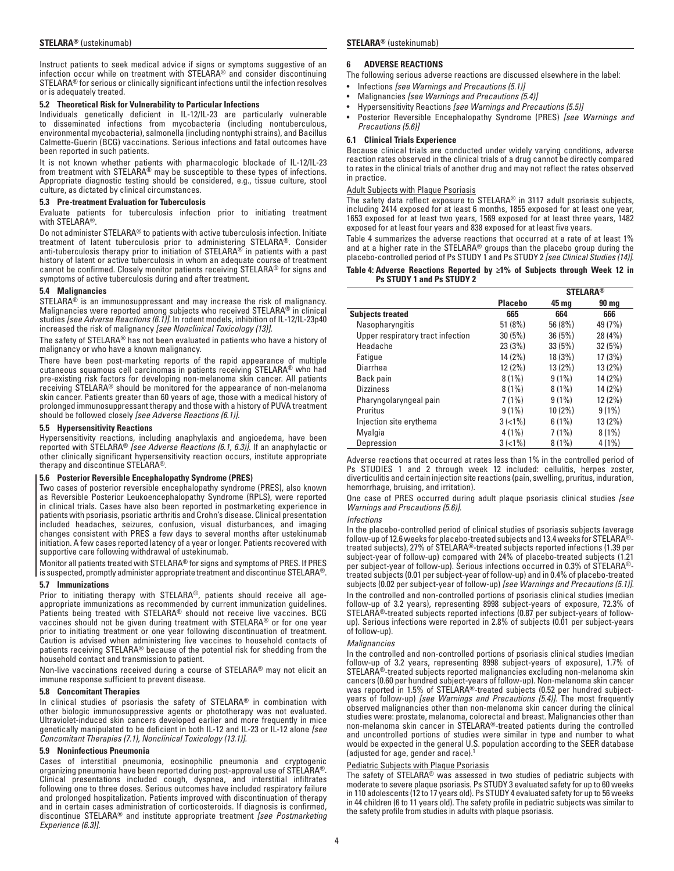Instruct patients to seek medical advice if signs or symptoms suggestive of an infection occur while on treatment with STELARA® and consider discontinuing STELARA® for serious or clinically significant infections until the infection resolves or is adequately treated.

#### **5.2 Theoretical Risk for Vulnerability to Particular Infections**

Individuals genetically deficient in IL-12/IL-23 are particularly vulnerable to disseminated infections from mycobacteria (including nontuberculous, environmental mycobacteria), salmonella (including nontyphi strains), and Bacillus Calmette-Guerin (BCG) vaccinations. Serious infections and fatal outcomes have been reported in such patients.

It is not known whether patients with pharmacologic blockade of IL-12/IL-23 from treatment with STELARA® may be susceptible to these types of infections. Appropriate diagnostic testing should be considered, e.g., tissue culture, stool culture, as dictated by clinical circumstances.

#### **5.3 Pre-treatment Evaluation for Tuberculosis**

Evaluate patients for tuberculosis infection prior to initiating treatment with STELARA®.

Do not administer STELARA® to patients with active tuberculosis infection. Initiate treatment of latent tuberculosis prior to administering STELARA®. Consider anti-tuberculosis therapy prior to initiation of STELARA® in patients with a past history of latent or active tuberculosis in whom an adequate course of treatment cannot be confirmed. Closely monitor patients receiving STELARA® for signs and symptoms of active tuberculosis during and after treatment.

#### **5.4 Malignancies**

STELARA® is an immunosuppressant and may increase the risk of malignancy. Malignancies were reported among subjects who received STELARA® in clinical studies *[see Adverse Reactions (6.1)].* In rodent models, inhibition of IL-12/IL-23p40 increased the risk of malignancy *[see Nonclinical Toxicology (13)].*

The safety of STELARA® has not been evaluated in patients who have a history of malignancy or who have a known malignancy.

There have been post-marketing reports of the rapid appearance of multiple cutaneous squamous cell carcinomas in patients receiving STELARA® who had pre-existing risk factors for developing non-melanoma skin cancer. All patients receiving STELARA® should be monitored for the appearance of non-melanoma skin cancer. Patients greater than 60 years of age, those with a medical history of prolonged immunosuppressant therapy and those with a history of PUVA treatment should be followed closely *[see Adverse Reactions (6.1)].*

#### **5.5 Hypersensitivity Reactions**

Hypersensitivity reactions, including anaphylaxis and angioedema, have been reported with STELARA® *[see Adverse Reactions (6.1, 6.3)].* If an anaphylactic or other clinically significant hypersensitivity reaction occurs, institute appropriate therapy and discontinue STELARA®.

#### **5.6 Posterior Reversible Encephalopathy Syndrome (PRES)**

Two cases of posterior reversible encephalopathy syndrome (PRES), also known as Reversible Posterior Leukoencephalopathy Syndrome (RPLS), were reported in clinical trials. Cases have also been reported in postmarketing experience in patients with psoriasis, psoriatic arthritis and Crohn's disease. Clinical presentation included headaches, seizures, confusion, visual disturbances, and imaging changes consistent with PRES a few days to several months after ustekinumab initiation. A few cases reported latency of a year or longer. Patients recovered with supportive care following withdrawal of ustekinumab.

Monitor all patients treated with STELARA® for signs and symptoms of PRES. If PRES  $\mid$  is suspected, promptly administer appropriate treatment and discontinue STELARA®.

#### **5.7 Immunizations**

Prior to initiating therapy with STELARA®, patients should receive all ageappropriate immunizations as recommended by current immunization guidelines. Patients being treated with STELARA® should not receive live vaccines. BCG vaccines should not be given during treatment with STELARA® or for one year prior to initiating treatment or one year following discontinuation of treatment. Caution is advised when administering live vaccines to household contacts of patients receiving STELARA® because of the potential risk for shedding from the household contact and transmission to patient.

Non-live vaccinations received during a course of STELARA® may not elicit an immune response sufficient to prevent disease.

#### **5.8 Concomitant Therapies**

In clinical studies of psoriasis the safety of STELARA® in combination with other biologic immunosuppressive agents or phototherapy was not evaluated. Ultraviolet-induced skin cancers developed earlier and more frequently in mice genetically manipulated to be deficient in both IL-12 and IL-23 or IL-12 alone *[see Concomitant Therapies (7.1), Nonclinical Toxicology (13.1)].*

#### **5.9 Noninfectious Pneumonia**

Cases of interstitial pneumonia, eosinophilic pneumonia and cryptogenic organizing pneumonia have been reported during post-approval use of STELARA®. Clinical presentations included cough, dyspnea, and interstitial infiltrates following one to three doses. Serious outcomes have included respiratory failure and prolonged hospitalization. Patients improved with discontinuation of therapy and in certain cases administration of corticosteroids. If diagnosis is confirmed, discontinue STELARA® and institute appropriate treatment *[see Postmarketing Experience (6.3)].*

#### **6 ADVERSE REACTIONS**

The following serious adverse reactions are discussed elsewhere in the label:

- Infections *[see Warnings and Precautions (5.1)]*
- Malignancies *[see Warnings and Precautions (5.4)]*
- Hypersensitivity Reactions *[see Warnings and Precautions (5.5)]*
- Posterior Reversible Encephalopathy Syndrome (PRES) *[see Warnings and Precautions (5.6)]*

#### **6.1 Clinical Trials Experience**

Because clinical trials are conducted under widely varying conditions, adverse reaction rates observed in the clinical trials of a drug cannot be directly compared to rates in the clinical trials of another drug and may not reflect the rates observed in practice.

#### Adult Subjects with Plaque Psoriasis

The safety data reflect exposure to STELARA® in 3117 adult psoriasis subjects, including 2414 exposed for at least 6 months, 1855 exposed for at least one year, 1653 exposed for at least two years, 1569 exposed for at least three years, 1482 exposed for at least four years and 838 exposed for at least five years.

Table 4 summarizes the adverse reactions that occurred at a rate of at least 1% and at a higher rate in the STELARA® groups than the placebo group during the placebo-controlled period of Ps STUDY 1 and Ps STUDY 2 *[see Clinical Studies (14)].*

#### **Table 4: Adverse Reactions Reported by ≥1% of Subjects through Week 12 in Ps STUDY 1 and Ps STUDY 2**

|                                   |                | <b>STELARA®</b> |              |  |
|-----------------------------------|----------------|-----------------|--------------|--|
|                                   | <b>Placebo</b> | 45 mg           | <b>90 mg</b> |  |
| <b>Subjects treated</b>           | 665            | 664             | 666          |  |
| Nasopharyngitis                   | 51(8%)         | 56 (8%)         | 49 (7%)      |  |
| Upper respiratory tract infection | 30(5%)         | 36(5%)          | 28 (4%)      |  |
| Headache                          | 23(3%)         | 33(5%)          | 32(5%)       |  |
| Fatique                           | 14 (2%)        | 18 (3%)         | 17(3%)       |  |
| Diarrhea                          | 12(2%)         | 13(2%)          | 13(2%)       |  |
| Back pain                         | $8(1\%)$       | $9(1\%)$        | 14 (2%)      |  |
| <b>Dizziness</b>                  | $8(1\%)$       | $8(1\%)$        | 14 (2%)      |  |
| Pharyngolaryngeal pain            | $7(1\%)$       | $9(1\%)$        | 12(2%)       |  |
| Pruritus                          | $9(1\%)$       | $10(2\%)$       | $9(1\%)$     |  |
| Injection site erythema           | $3(<1\%)$      | $6(1\%)$        | 13 (2%)      |  |
| Myalgia                           | $4(1\%)$       | 7(1%)           | $8(1\%)$     |  |
| Depression                        | $3(<1\%)$      | $8(1\%)$        | $4(1\%)$     |  |

Adverse reactions that occurred at rates less than 1% in the controlled period of Ps STUDIES 1 and 2 through week 12 included: cellulitis, herpes zoster, diverticulitis and certain injection site reactions (pain, swelling, pruritus, induration, hemorrhage, bruising, and irritation).

One case of PRES occurred during adult plaque psoriasis clinical studies *[see Warnings and Precautions (5.6)].*

#### *Infections*

In the placebo-controlled period of clinical studies of psoriasis subjects (average follow-up of 12.6 weeks for placebo-treated subjects and 13.4 weeks for STELARA® treated subjects), 27% of STELARA®-treated subjects reported infections (1.39 per subject-year of follow-up) compared with 24% of placebo-treated subjects (1.21 per subject-year of follow-up). Serious infections occurred in 0.3% of STELARA® treated subjects (0.01 per subject-year of follow-up) and in 0.4% of placebo-treated subjects (0.02 per subject-year of follow-up) *[see Warnings and Precautions (5.1)].* In the controlled and non-controlled portions of psoriasis clinical studies (median follow-up of 3.2 years), representing 8998 subject-years of exposure, 72.3% of STELARA®-treated subjects reported infections (0.87 per subject-years of followup). Serious infections were reported in 2.8% of subjects (0.01 per subject-years of follow-up).

#### *Malignancies*

In the controlled and non-controlled portions of psoriasis clinical studies (median follow-up of 3.2 years, representing 8998 subject-years of exposure), 1.7% of STELARA®-treated subjects reported malignancies excluding non-melanoma skin cancers (0.60 per hundred subject-years of follow-up). Non-melanoma skin cancer was reported in 1.5% of STELARA®-treated subjects (0.52 per hundred subjectyears of follow-up) *[see Warnings and Precautions (5.4)].* The most frequently observed malignancies other than non-melanoma skin cancer during the clinical studies were: prostate, melanoma, colorectal and breast. Malignancies other than non-melanoma skin cancer in STELARA®-treated patients during the controlled and uncontrolled portions of studies were similar in type and number to what would be expected in the general U.S. population according to the SEER database (adjusted for age, gender and race).1

#### Pediatric Subjects with Plaque Psoriasis

The safety of STELARA® was assessed in two studies of pediatric subjects with moderate to severe plaque psoriasis. Ps STUDY 3 evaluated safety for up to 60 weeks in 110 adolescents (12 to 17 years old). Ps STUDY 4 evaluated safety for up to 56 weeks in 44 children (6 to 11 years old). The safety profile in pediatric subjects was similar to the safety profile from studies in adults with plaque psoriasis.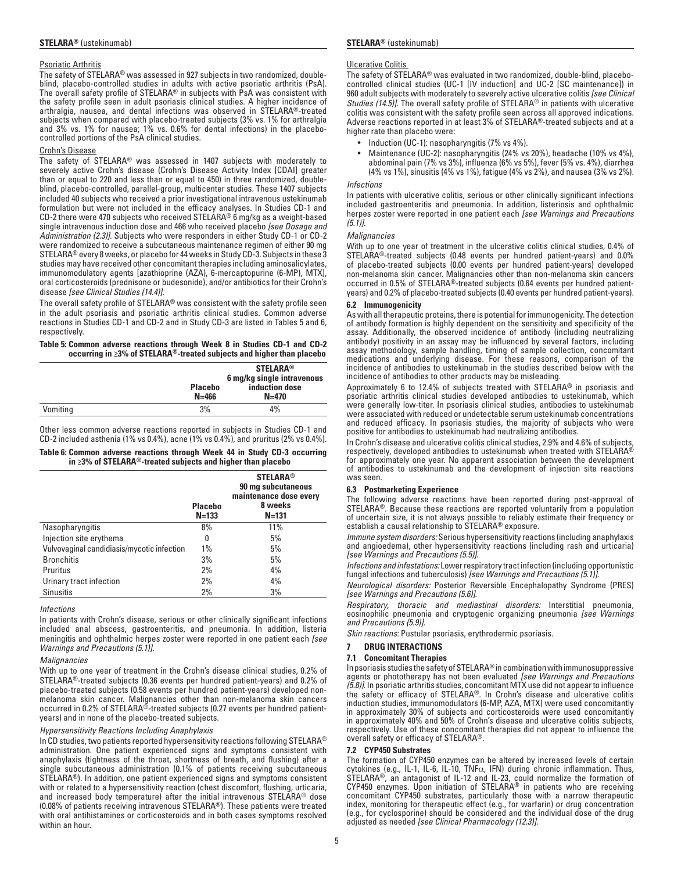#### Psoriatic Arthritis

The safety of STELARA® was assessed in 927 subjects in two randomized, doubleblind, placebo-controlled studies in adults with active psoriatic arthritis (PsA). The overall safety profile of STELARA® in subjects with PsA was consistent with the safety profile seen in adult psoriasis clinical studies. A higher incidence of arthralgia, nausea, and dental infections was observed in STELARA®-treated subjects when compared with placebo-treated subjects (3% vs. 1% for arthralgia and 3% vs. 1% for nausea; 1% vs. 0.6% for dental infections) in the placebocontrolled portions of the PsA clinical studies.

#### Crohn's Disease

The safety of STELARA® was assessed in 1407 subjects with moderately to severely active Crohn's disease (Crohn's Disease Activity Index [CDAI] greater than or equal to 220 and less than or equal to 450) in three randomized, doubleblind, placebo-controlled, parallel-group, multicenter studies. These 1407 subjects included 40 subjects who received a prior investigational intravenous ustekinumab formulation but were not included in the efficacy analyses. In Studies CD-1 and CD-2 there were 470 subjects who received STELARA® 6 mg/kg as a weight-based single intravenous induction dose and 466 who received placebo *[see Dosage and Administration (2.3)].* Subjects who were responders in either Study CD-1 or CD-2 were randomized to receive a subcutaneous maintenance regimen of either 90 mg STELARA® every 8 weeks, or placebo for 44 weeks in Study CD-3. Subjects in these 3 studies may have received other concomitant therapies including aminosalicylates, immunomodulatory agents [azathioprine (AZA), 6-mercaptopurine (6-MP), MTX], oral corticosteroids (prednisone or budesonide), and/or antibiotics for their Crohn's disease *[see Clinical Studies (14.4)].*

The overall safety profile of STELARA® was consistent with the safety profile seen in the adult psoriasis and psoriatic arthritis clinical studies. Common adverse reactions in Studies CD-1 and CD-2 and in Study CD-3 are listed in Tables 5 and 6, respectively.

#### **Table 5: Common adverse reactions through Week 8 in Studies CD-1 and CD-2 occurring in ≥3% of STELARA®-treated subjects and higher than placebo**

| <b>Placebo</b><br>$N = 466$ | <b>STELARA®</b><br>6 mg/kg single intravenous<br>induction dose<br>$N = 470$ |
|-----------------------------|------------------------------------------------------------------------------|
| 3%                          | 4%                                                                           |
|                             |                                                                              |

Other less common adverse reactions reported in subjects in Studies CD-1 and CD-2 included asthenia (1% vs 0.4%), acne (1% vs 0.4%), and pruritus (2% vs 0.4%).

| Table 6: Common adverse reactions through Week 44 in Study CD-3 occurring |  |  |  |  |
|---------------------------------------------------------------------------|--|--|--|--|
| in $\geq$ 3% of STELARA®-treated subjects and higher than placebo         |  |  |  |  |

|                                            | <b>Placebo</b><br>$N = 133$ | <b>STELARA®</b><br>90 mg subcutaneous<br>maintenance dose every<br>8 weeks<br>$N = 131$ |
|--------------------------------------------|-----------------------------|-----------------------------------------------------------------------------------------|
| Nasopharyngitis                            | 8%                          | 11%                                                                                     |
| Injection site erythema                    | 0                           | 5%                                                                                      |
| Vulvovaginal candidiasis/mycotic infection | $1\%$                       | 5%                                                                                      |
| <b>Bronchitis</b>                          | 3%                          | 5%                                                                                      |
| Pruritus                                   | 2%                          | 4%                                                                                      |
| Urinary tract infection                    | 2%                          | 4%                                                                                      |
| <b>Sinusitis</b>                           | 2%                          | 3%                                                                                      |

#### *Infections*

In patients with Crohn's disease, serious or other clinically significant infections included anal abscess, gastroenteritis, and pneumonia. In addition, listeria meningitis and ophthalmic herpes zoster were reported in one patient each *[see Warnings and Precautions (5.1)].*

#### *Malignancies*

With up to one year of treatment in the Crohn's disease clinical studies, 0.2% of STELARA®-treated subjects (0.36 events per hundred patient-years) and 0.2% of placebo-treated subjects (0.58 events per hundred patient-years) developed nonmelanoma skin cancer. Malignancies other than non-melanoma skin cancers occurred in 0.2% of STELARA®-treated subjects (0.27 events per hundred patientyears) and in none of the placebo-treated subjects.

#### *Hypersensitivity Reactions Including Anaphylaxis*

In CD studies, two patients reported hypersensitivity reactions following STELARA® administration. One patient experienced signs and symptoms consistent with anaphylaxis (tightness of the throat, shortness of breath, and flushing) after a single subcutaneous administration (0.1% of patients receiving subcutaneous STELARA®). In addition, one patient experienced signs and symptoms consistent with or related to a hypersensitivity reaction (chest discomfort, flushing, urticaria, and increased body temperature) after the initial intravenous STELARA® dose (0.08% of patients receiving intravenous STELARA®). These patients were treated with oral antihistamines or corticosteroids and in both cases symptoms resolved within an hour.

#### Ulcerative Colitis

The safety of STELARA® was evaluated in two randomized, double-blind, placebocontrolled clinical studies (UC-1 [IV induction] and UC-2 [SC maintenance]) in 960 adult subjects with moderately to severely active ulcerative colitis *[see Clinical Studies (14.5)]*. The overall safety profile of STELARA® in patients with ulcerative colitis was consistent with the safety profile seen across all approved indications. Adverse reactions reported in at least 3% of STELARA®-treated subjects and at a higher rate than placebo were:

- Induction (UC-1): nasopharyngitis (7% vs 4%).
- Maintenance (UC-2): nasopharyngitis (24% vs 20%), headache (10% vs 4%), abdominal pain (7% vs 3%), influenza (6% vs 5%), fever (5% vs. 4%), diarrhea (4% vs 1%), sinusitis (4% vs 1%), fatigue (4% vs 2%), and nausea (3% vs 2%).

#### *Infections*

In patients with ulcerative colitis, serious or other clinically significant infections included gastroenteritis and pneumonia. In addition, listeriosis and ophthalmic herpes zoster were reported in one patient each *[see Warnings and Precautions (5.1)].*

#### *Malignancies*

With up to one year of treatment in the ulcerative colitis clinical studies, 0.4% of STELARA®-treated subjects (0.48 events per hundred patient-years) and 0.0% of placebo-treated subjects (0.00 events per hundred patient-years) developed non-melanoma skin cancer. Malignancies other than non-melanoma skin cancers occurred in 0.5% of STELARA®-treated subjects (0.64 events per hundred patientyears) and 0.2% of placebo-treated subjects (0.40 events per hundred patient-years).

#### **6.2 Immunogenicity**

As with all therapeutic proteins, there is potential for immunogenicity. The detection of antibody formation is highly dependent on the sensitivity and specificity of the assay. Additionally, the observed incidence of antibody (including neutralizing antibody) positivity in an assay may be influenced by several factors, including assay methodology, sample handling, timing of sample collection, concomitant medications and underlying disease. For these reasons, comparison of the incidence of antibodies to ustekinumab in the studies described below with the incidence of antibodies to other products may be misleading.

Approximately 6 to 12.4% of subjects treated with STELARA® in psoriasis and psoriatic arthritis clinical studies developed antibodies to ustekinumab, which were generally low-titer. In psoriasis clinical studies, antibodies to ustekinumab were associated with reduced or undetectable serum ustekinumab concentrations and reduced efficacy. In psoriasis studies, the majority of subjects who were positive for antibodies to ustekinumab had neutralizing antibodies.

In Crohn's disease and ulcerative colitis clinical studies, 2.9% and 4.6% of subjects, respectively, developed antibodies to ustekinumab when treated with STELARA® for approximately one year. No apparent association between the development of antibodies to ustekinumab and the development of injection site reactions was seen.

#### **6.3 Postmarketing Experience**

The following adverse reactions have been reported during post-approval of STELARA®. Because these reactions are reported voluntarily from a population of uncertain size, it is not always possible to reliably estimate their frequency or establish a causal relationship to STELARA® exposure.

*Immune system disorders:* Serious hypersensitivity reactions (including anaphylaxis and angioedema), other hypersensitivity reactions (including rash and urticaria) *[see Warnings and Precautions (5.5)].*

*Infections and infestations:* Lower respiratory tract infection (including opportunistic fungal infections and tuberculosis) *[see Warnings and Precautions (5.1)].*

*Neurological disorders:* Posterior Reversible Encephalopathy Syndrome (PRES) *[see Warnings and Precautions (5.6)].*

*Respiratory, thoracic and mediastinal disorders:* Interstitial pneumonia, eosinophilic pneumonia and cryptogenic organizing pneumonia *[see Warnings and Precautions (5.9)].*

*Skin reactions:* Pustular psoriasis, erythrodermic psoriasis.

#### **7 DRUG INTERACTIONS**

#### **7.1 Concomitant Therapies**

In psoriasis studies the safety of STELARA® in combination with immunosuppressive agents or phototherapy has not been evaluated *[see Warnings and Precautions (5.8)]*. In psoriatic arthritis studies, concomitant MTX use did not appear to influence the safety or efficacy of STELARA®. In Crohn's disease and ulcerative colitis induction studies, immunomodulators (6-MP, AZA, MTX) were used concomitantly in approximately 30% of subjects and corticosteroids were used concomitantly in approximately 40% and 50% of Crohn's disease and ulcerative colitis subjects, respectively. Use of these concomitant therapies did not appear to influence the overall safety or efficacy of STELARA®.

#### **7.2 CYP450 Substrates**

The formation of CYP450 enzymes can be altered by increased levels of certain cytokines (e.g., IL-1, IL-6, IL-10, TNF $\alpha$ , IFN) during chronic inflammation. Thus, STELARA®, an antagonist of IL-12 and IL-23, could normalize the formation of CYP450 enzymes. Upon initiation of STELARA® in patients who are receiving concomitant CYP450 substrates, particularly those with a narrow therapeutic index, monitoring for therapeutic effect (e.g., for warfarin) or drug concentration (e.g., for cyclosporine) should be considered and the individual dose of the drug adjusted as needed *[see Clinical Pharmacology (12.3)].*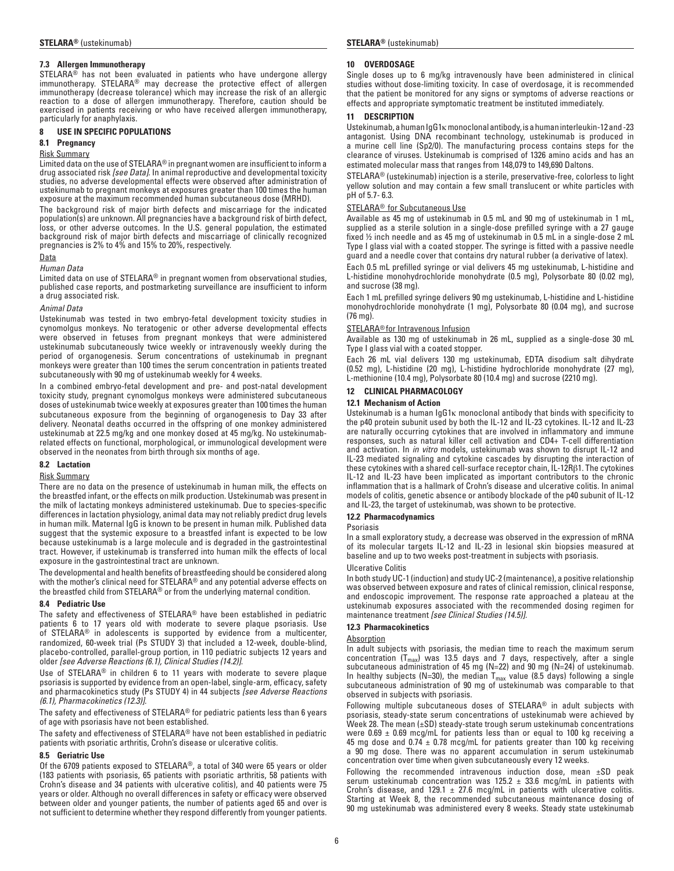### **7.3 Allergen Immunotherapy**

STELARA® has not been evaluated in patients who have undergone allergy immunotherapy. STELARA<sup>®</sup> may decrease the protective effect of allergen immunotherapy (decrease tolerance) which may increase the risk of an allergic reaction to a dose of allergen immunotherapy. Therefore, caution should be exercised in patients receiving or who have received allergen immunotherapy, particularly for anaphylaxis.

#### **8 USE IN SPECIFIC POPULATIONS**

#### **8.1 Pregnancy**

#### Risk Summary

Limited data on the use of STELARA® in pregnant women are insufficient to inform a drug associated risk *[see Data].* In animal reproductive and developmental toxicity studies, no adverse developmental effects were observed after administration of ustekinumab to pregnant monkeys at exposures greater than 100 times the human exposure at the maximum recommended human subcutaneous dose (MRHD).

The background risk of major birth defects and miscarriage for the indicated population(s) are unknown. All pregnancies have a background risk of birth defect, loss, or other adverse outcomes. In the U.S. general population, the estimated background risk of major birth defects and miscarriage of clinically recognized pregnancies is 2% to 4% and 15% to 20%, respectively.

### Data

### *Human Data*

Limited data on use of STELARA® in pregnant women from observational studies, published case reports, and postmarketing surveillance are insufficient to inform a drug associated risk.

#### *Animal Data*

Ustekinumab was tested in two embryo-fetal development toxicity studies in cynomolgus monkeys. No teratogenic or other adverse developmental effects were observed in fetuses from pregnant monkeys that were administered ustekinumab subcutaneously twice weekly or intravenously weekly during the period of organogenesis. Serum concentrations of ustekinumab in pregnant monkeys were greater than 100 times the serum concentration in patients treated subcutaneously with 90 mg of ustekinumab weekly for 4 weeks.

In a combined embryo-fetal development and pre- and post-natal development toxicity study, pregnant cynomolgus monkeys were administered subcutaneous doses of ustekinumab twice weekly at exposures greater than 100 times the human subcutaneous exposure from the beginning of organogenesis to Day 33 after delivery. Neonatal deaths occurred in the offspring of one monkey administered ustekinumab at 22.5 mg/kg and one monkey dosed at 45 mg/kg. No ustekinumabrelated effects on functional, morphological, or immunological development were observed in the neonates from birth through six months of age.

#### **8.2 Lactation**

Risk Summary

There are no data on the presence of ustekinumab in human milk, the effects on the breastfed infant, or the effects on milk production. Ustekinumab was present in the milk of lactating monkeys administered ustekinumab. Due to species-specific differences in lactation physiology, animal data may not reliably predict drug levels in human milk. Maternal IgG is known to be present in human milk. Published data suggest that the systemic exposure to a breastfed infant is expected to be low because ustekinumab is a large molecule and is degraded in the gastrointestinal tract. However, if ustekinumab is transferred into human milk the effects of local exposure in the gastrointestinal tract are unknown.

The developmental and health benefits of breastfeeding should be considered along with the mother's clinical need for STELARA® and any potential adverse effects on the breastfed child from STELARA® or from the underlying maternal condition.

#### **8.4 Pediatric Use**

The safety and effectiveness of STELARA® have been established in pediatric patients 6 to 17 years old with moderate to severe plaque psoriasis. Use of STELARA® in adolescents is supported by evidence from a multicenter, randomized, 60-week trial (Ps STUDY 3) that included a 12-week, double-blind, placebo-controlled, parallel-group portion, in 110 pediatric subjects 12 years and older *[see Adverse Reactions (6.1), Clinical Studies (14.2)]*.

Use of STELARA® in children 6 to 11 years with moderate to severe plaque psoriasis is supported by evidence from an open-label, single-arm, efficacy, safety and pharmacokinetics study (Ps STUDY 4) in 44 subjects *[see Adverse Reactions (6.1), Pharmacokinetics (12.3)]*.

The safety and effectiveness of STELARA® for pediatric patients less than 6 years of age with psoriasis have not been established.

The safety and effectiveness of STELARA® have not been established in pediatric patients with psoriatic arthritis, Crohn's disease or ulcerative colitis.

#### **8.5 Geriatric Use**

Of the 6709 patients exposed to STELARA®, a total of 340 were 65 years or older (183 patients with psoriasis, 65 patients with psoriatic arthritis, 58 patients with Crohn's disease and 34 patients with ulcerative colitis), and 40 patients were 75 years or older. Although no overall differences in safety or efficacy were observed between older and younger patients, the number of patients aged 65 and over is not sufficient to determine whether they respond differently from younger patients.

#### **10 OVERDOSAGE**

Single doses up to 6 mg/kg intravenously have been administered in clinical studies without dose-limiting toxicity. In case of overdosage, it is recommended that the patient be monitored for any signs or symptoms of adverse reactions or effects and appropriate symptomatic treatment be instituted immediately.

#### **11 DESCRIPTION**

Ustekinumab, a human IgG1κ monoclonal antibody, is a human interleukin-12 and -23 antagonist. Using DNA recombinant technology, ustekinumab is produced in a murine cell line (Sp2/0). The manufacturing process contains steps for the clearance of viruses. Ustekinumab is comprised of 1326 amino acids and has an estimated molecular mass that ranges from 148,079 to 149,690 Daltons.

STELARA® (ustekinumab) injection is a sterile, preservative-free, colorless to light yellow solution and may contain a few small translucent or white particles with pH of 5.7- 6.3.

#### STELARA<sup>®</sup> for Subcutaneous Use

Available as 45 mg of ustekinumab in 0.5 mL and 90 mg of ustekinumab in 1 mL, supplied as a sterile solution in a single-dose prefilled syringe with a 27 gauge fixed ½ inch needle and as 45 mg of ustekinumab in 0.5 mL in a single-dose 2 mL Type I glass vial with a coated stopper. The syringe is fitted with a passive needle guard and a needle cover that contains dry natural rubber (a derivative of latex).

Each 0.5 mL prefilled syringe or vial delivers 45 mg ustekinumab, L-histidine and L-histidine monohydrochloride monohydrate (0.5 mg), Polysorbate 80 (0.02 mg), and sucrose (38 mg).

Each 1 mL prefilled syringe delivers 90 mg ustekinumab, L-histidine and L-histidine monohydrochloride monohydrate (1 mg), Polysorbate 80 (0.04 mg), and sucrose (76 mg).

#### STELARA<sup>®</sup> for Intravenous Infusion

Available as 130 mg of ustekinumab in 26 mL, supplied as a single-dose 30 mL Type I glass vial with a coated stopper.

Each 26 mL vial delivers 130 mg ustekinumab, EDTA disodium salt dihydrate (0.52 mg), L-histidine (20 mg), L-histidine hydrochloride monohydrate (27 mg), L-methionine (10.4 mg), Polysorbate 80 (10.4 mg) and sucrose (2210 mg).

#### **12 CLINICAL PHARMACOLOGY**

#### **12.1 Mechanism of Action**

Ustekinumab is a human IgG1κ monoclonal antibody that binds with specificity to the p40 protein subunit used by both the IL-12 and IL-23 cytokines. IL-12 and IL-23 are naturally occurring cytokines that are involved in inflammatory and immune responses, such as natural killer cell activation and CD4+ T-cell differentiation and activation. In *in vitro* models, ustekinumab was shown to disrupt IL-12 and IL-23 mediated signaling and cytokine cascades by disrupting the interaction of these cytokines with a shared cell-surface receptor chain, IL-12Rβ1. The cytokines IL-12 and IL-23 have been implicated as important contributors to the chronic inflammation that is a hallmark of Crohn's disease and ulcerative colitis. In animal models of colitis, genetic absence or antibody blockade of the p40 subunit of IL-12 and IL-23, the target of ustekinumab, was shown to be protective.

#### **12.2 Pharmacodynamics**

Psoriasis

In a small exploratory study, a decrease was observed in the expression of mRNA of its molecular targets IL-12 and IL-23 in lesional skin biopsies measured at baseline and up to two weeks post-treatment in subjects with psoriasis.

#### Ulcerative Colitis

In both study UC-1 (induction) and study UC-2 (maintenance), a positive relationship was observed between exposure and rates of clinical remission, clinical response, and endoscopic improvement. The response rate approached a plateau at the ustekinumab exposures associated with the recommended dosing regimen for maintenance treatment *[see Clinical Studies (14.5)].*

#### **12.3 Pharmacokinetics**

#### **Absorption**

In adult subjects with psoriasis, the median time to reach the maximum serum concentration ( $T_{max}$ ) was 13.5 days and 7 days, respectively, after a single subcutaneous administration of 45 mg (N=22) and 90 mg (N=24) of ustekinumab. In healthy subjects (N=30), the median  $T_{max}$  value (8.5 days) following a single subcutaneous administration of 90 mg of ustekinumab was comparable to that observed in subjects with psoriasis.

Following multiple subcutaneous doses of STELARA® in adult subjects with psoriasis, steady-state serum concentrations of ustekinumab were achieved by Week 28. The mean (±SD) steady-state trough serum ustekinumab concentrations were  $0.69 \pm 0.69$  mcg/mL for patients less than or equal to 100 kg receiving a 45 mg dose and  $0.74 \pm 0.78$  mcg/mL for patients greater than 100 kg receiving a 90 mg dose. There was no apparent accumulation in serum ustekinumab concentration over time when given subcutaneously every 12 weeks.

Following the recommended intravenous induction dose, mean ±SD peak serum ustekinumab concentration was  $125.2 \pm 33.6$  mcg/mL in patients with Crohn's disease, and 129.1  $\pm$  27.6 mcg/mL in patients with ulcerative colitis. Starting at Week 8, the recommended subcutaneous maintenance dosing of 90 mg ustekinumab was administered every 8 weeks. Steady state ustekinumab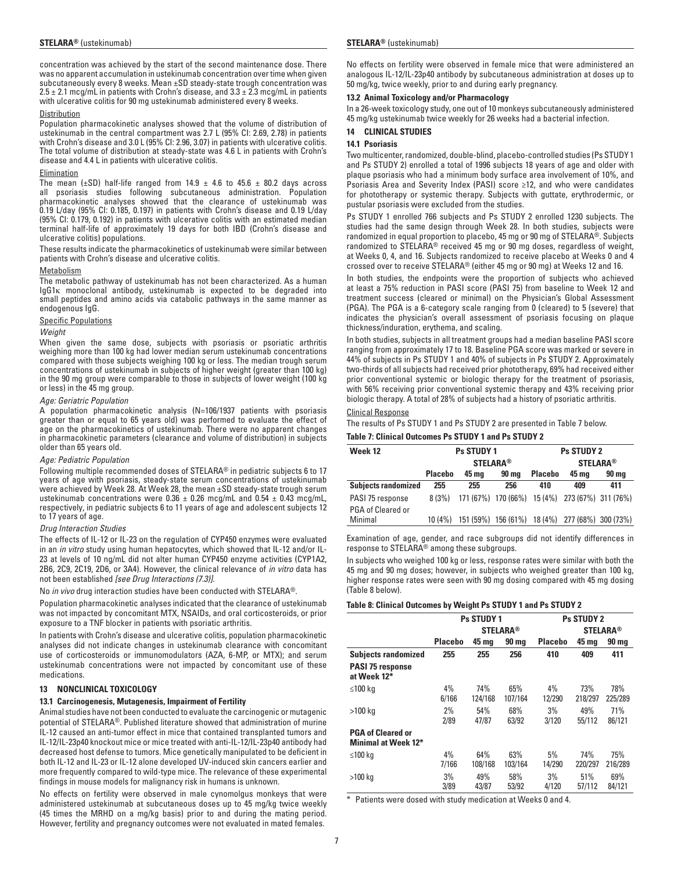concentration was achieved by the start of the second maintenance dose. There was no apparent accumulation in ustekinumab concentration over time when given subcutaneously every 8 weeks. Mean ±SD steady-state trough concentration was  $2.5 \pm 2.1$  mcg/mL in patients with Crohn's disease, and  $3.3 \pm 2.3$  mcg/mL in patients with ulcerative colitis for 90 mg ustekinumab administered every 8 weeks.

#### **Distribution**

Population pharmacokinetic analyses showed that the volume of distribution of ustekinumab in the central compartment was 2.7 L (95% CI: 2.69, 2.78) in patients with Crohn's disease and 3.0 L (95% CI: 2.96, 3.07) in patients with ulcerative colitis. The total volume of distribution at steady-state was 4.6 L in patients with Crohn's disease and 4.4 L in patients with ulcerative colitis.

#### Elimination

The mean ( $\pm$ SD) half-life ranged from 14.9  $\pm$  4.6 to 45.6  $\pm$  80.2 days across all psoriasis studies following subcutaneous administration. Population pharmacokinetic analyses showed that the clearance of ustekinumab was 0.19 L/day (95% CI: 0.185, 0.197) in patients with Crohn's disease and 0.19 L/day (95% CI: 0.179, 0.192) in patients with ulcerative colitis with an estimated median terminal half-life of approximately 19 days for both IBD (Crohn's disease and ulcerative colitis) populations.

These results indicate the pharmacokinetics of ustekinumab were similar between patients with Crohn's disease and ulcerative colitis.

#### Metabolism

The metabolic pathway of ustekinumab has not been characterized. As a human IgG1κ monoclonal antibody, ustekinumab is expected to be degraded into small peptides and amino acids via catabolic pathways in the same manner as endogenous IgG.

#### Specific Populations

#### *Weight*

When given the same dose, subjects with psoriasis or psoriatic arthritis weighing more than 100 kg had lower median serum ustekinumab concentrations compared with those subjects weighing 100 kg or less. The median trough serum concentrations of ustekinumab in subjects of higher weight (greater than 100 kg) in the 90 mg group were comparable to those in subjects of lower weight (100 kg or less) in the 45 mg group.

#### *Age: Geriatric Population*

A population pharmacokinetic analysis (N=106/1937 patients with psoriasis greater than or equal to 65 years old) was performed to evaluate the effect of age on the pharmacokinetics of ustekinumab. There were no apparent changes in pharmacokinetic parameters (clearance and volume of distribution) in subjects older than 65 years old.

#### *Age: Pediatric Population*

Following multiple recommended doses of STELARA® in pediatric subjects 6 to 17 years of age with psoriasis, steady-state serum concentrations of ustekinumab were achieved by Week 28. At Week 28, the mean ±SD steady-state trough serum ustekinumab concentrations were  $0.36 \pm 0.26$  mcg/mL and  $0.54 \pm 0.43$  mcg/mL, respectively, in pediatric subjects 6 to 11 years of age and adolescent subjects 12 to 17 years of age.

#### *Drug Interaction Studies*

The effects of IL-12 or IL-23 on the regulation of CYP450 enzymes were evaluated in an *in vitro* study using human hepatocytes, which showed that IL-12 and/or IL-23 at levels of 10 ng/mL did not alter human CYP450 enzyme activities (CYP1A2, 2B6, 2C9, 2C19, 2D6, or 3A4). However, the clinical relevance of *in vitro* data has not been established *[see Drug Interactions (7.3)].*

No *in vivo* drug interaction studies have been conducted with STELARA®.

Population pharmacokinetic analyses indicated that the clearance of ustekinumab was not impacted by concomitant MTX, NSAIDs, and oral corticosteroids, or prior exposure to a TNF blocker in patients with psoriatic arthritis.

In patients with Crohn's disease and ulcerative colitis, population pharmacokinetic analyses did not indicate changes in ustekinumab clearance with concomitant use of corticosteroids or immunomodulators (AZA, 6-MP, or MTX); and serum ustekinumab concentrations were not impacted by concomitant use of these medications.

#### **13 NONCLINICAL TOXICOLOGY**

#### **13.1 Carcinogenesis, Mutagenesis, Impairment of Fertility**

Animal studies have not been conducted to evaluate the carcinogenic or mutagenic potential of STELARA®. Published literature showed that administration of murine IL-12 caused an anti-tumor effect in mice that contained transplanted tumors and IL-12/IL-23p40 knockout mice or mice treated with anti-IL-12/IL-23p40 antibody had decreased host defense to tumors. Mice genetically manipulated to be deficient in both IL-12 and IL-23 or IL-12 alone developed UV-induced skin cancers earlier and more frequently compared to wild-type mice. The relevance of these experimental findings in mouse models for malignancy risk in humans is unknown.

No effects on fertility were observed in male cynomolgus monkeys that were administered ustekinumab at subcutaneous doses up to 45 mg/kg twice weekly (45 times the MRHD on a mg/kg basis) prior to and during the mating period. However, fertility and pregnancy outcomes were not evaluated in mated females.

No effects on fertility were observed in female mice that were administered an analogous IL-12/IL-23p40 antibody by subcutaneous administration at doses up to 50 mg/kg, twice weekly, prior to and during early pregnancy.

#### **13.2 Animal Toxicology and/or Pharmacology**

In a 26-week toxicology study, one out of 10 monkeys subcutaneously administered 45 mg/kg ustekinumab twice weekly for 26 weeks had a bacterial infection.

#### **14 CLINICAL STUDIES**

#### **14.1 Psoriasis**

Two multicenter, randomized, double-blind, placebo-controlled studies (Ps STUDY 1 and Ps STUDY 2) enrolled a total of 1996 subjects 18 years of age and older with plaque psoriasis who had a minimum body surface area involvement of 10%, and Psoriasis Area and Severity Index (PASI) score ≥12, and who were candidates for phototherapy or systemic therapy. Subjects with guttate, erythrodermic, or pustular psoriasis were excluded from the studies.

Ps STUDY 1 enrolled 766 subjects and Ps STUDY 2 enrolled 1230 subjects. The studies had the same design through Week 28. In both studies, subjects were randomized in equal proportion to placebo, 45 mg or 90 mg of STELARA®. Subjects randomized to STELARA® received 45 mg or 90 mg doses, regardless of weight, at Weeks 0, 4, and 16. Subjects randomized to receive placebo at Weeks 0 and 4 crossed over to receive STELARA® (either 45 mg or 90 mg) at Weeks 12 and 16.

In both studies, the endpoints were the proportion of subjects who achieved at least a 75% reduction in PASI score (PASI 75) from baseline to Week 12 and treatment success (cleared or minimal) on the Physician's Global Assessment (PGA). The PGA is a 6-category scale ranging from 0 (cleared) to 5 (severe) that indicates the physician's overall assessment of psoriasis focusing on plaque thickness/induration, erythema, and scaling.

In both studies, subjects in all treatment groups had a median baseline PASI score ranging from approximately 17 to 18. Baseline PGA score was marked or severe in 44% of subjects in Ps STUDY 1 and 40% of subjects in Ps STUDY 2. Approximately two-thirds of all subjects had received prior phototherapy, 69% had received either prior conventional systemic or biologic therapy for the treatment of psoriasis, with 56% receiving prior conventional systemic therapy and 43% receiving prior biologic therapy. A total of 28% of subjects had a history of psoriatic arthritis.

#### Clinical Response

The results of Ps STUDY 1 and Ps STUDY 2 are presented in Table 7 below.

#### **Table 7: Clinical Outcomes Ps STUDY 1 and Ps STUDY 2**

| Week 12                      | <b>Ps STUDY 1</b> |                                         |     |     | <b>Ps STUDY 2</b>                               |                 |
|------------------------------|-------------------|-----------------------------------------|-----|-----|-------------------------------------------------|-----------------|
|                              |                   | <b>STELARA®</b>                         |     |     |                                                 | <b>STELARA®</b> |
|                              | <b>Placebo</b>    | <b>Placebo</b><br>45 mg<br><b>90 ma</b> |     |     | 45 mg                                           | <b>90 mg</b>    |
| <b>Subjects randomized</b>   | 255               | 255                                     | 256 | 410 | 409                                             | 411             |
| PASI 75 response             | 8(3%)             |                                         |     |     | 171 (67%) 170 (66%) 15 (4%) 273 (67%) 311 (76%) |                 |
| PGA of Cleared or<br>Minimal | 10 (4%)           |                                         |     |     | 151 (59%) 156 (61%) 18 (4%) 277 (68%) 300 (73%) |                 |

Examination of age, gender, and race subgroups did not identify differences in response to STELARA® among these subgroups.

In subjects who weighed 100 kg or less, response rates were similar with both the 45 mg and 90 mg doses; however, in subjects who weighed greater than 100 kg, higher response rates were seen with 90 mg dosing compared with 45 mg dosing (Table 8 below).

#### **Table 8: Clinical Outcomes by Weight Ps STUDY 1 and Ps STUDY 2**

|                                                        | <b>Ps STUDY 1</b> |                |                 | <b>Ps STUDY 2</b> |                |                |  |
|--------------------------------------------------------|-------------------|----------------|-----------------|-------------------|----------------|----------------|--|
|                                                        |                   |                | <b>STELARA®</b> | <b>STELARA®</b>   |                |                |  |
|                                                        | <b>Placebo</b>    | 45 mg          | <b>90 mg</b>    | <b>Placebo</b>    | 45 mg          | <b>90 mg</b>   |  |
| <b>Subjects randomized</b>                             | 255               | 255            | 256             | 410               | 409            | 411            |  |
| <b>PASI 75 response</b><br>at Week 12*                 |                   |                |                 |                   |                |                |  |
| ≤100 kg                                                | 4%<br>6/166       | 74%<br>124/168 | 65%<br>107/164  | 4%<br>12/290      | 73%<br>218/297 | 78%<br>225/289 |  |
| >100 kg                                                | 2%<br>2/89        | 54%<br>47/87   | 68%<br>63/92    | 3%<br>3/120       | 49%<br>55/112  | 71%<br>86/121  |  |
| <b>PGA of Cleared or</b><br><b>Minimal at Week 12*</b> |                   |                |                 |                   |                |                |  |
| ≤100 ka                                                | 4%<br>7/166       | 64%<br>108/168 | 63%<br>103/164  | 5%<br>14/290      | 74%<br>220/297 | 75%<br>216/289 |  |
| >100 kg                                                | 3%<br>3/89        | 49%<br>43/87   | 58%<br>53/92    | 3%<br>4/120       | 51%<br>57/112  | 69%<br>84/121  |  |

\* Patients were dosed with study medication at Weeks 0 and 4.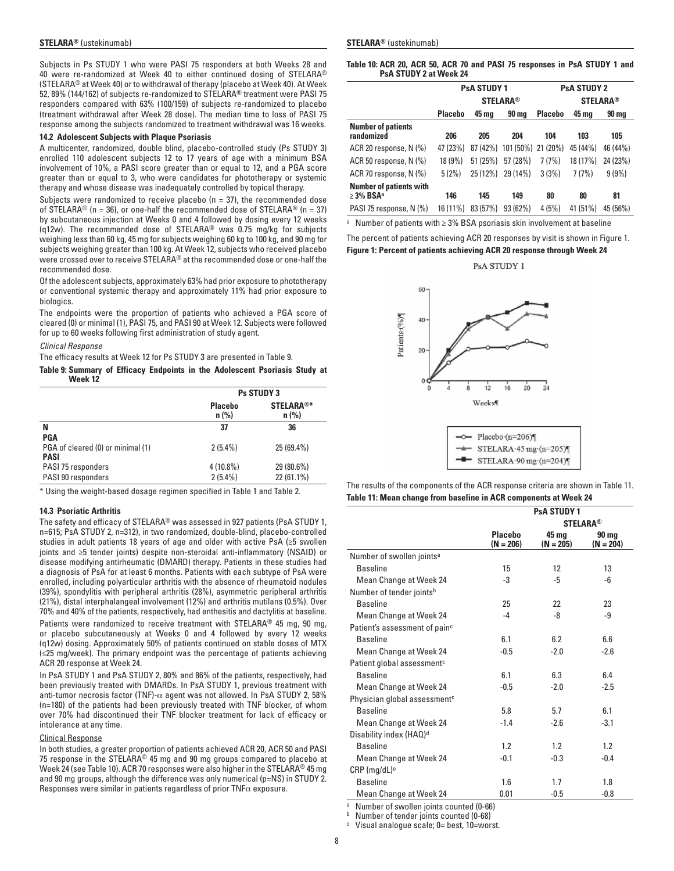Subjects in Ps STUDY 1 who were PASI 75 responders at both Weeks 28 and 40 were re-randomized at Week 40 to either continued dosing of STELARA® (STELARA® at Week 40) or to withdrawal of therapy (placebo at Week 40). At Week 52, 89% (144/162) of subjects re-randomized to STELARA® treatment were PASI 75 responders compared with 63% (100/159) of subjects re-randomized to placebo (treatment withdrawal after Week 28 dose). The median time to loss of PASI 75 response among the subjects randomized to treatment withdrawal was 16 weeks.

#### **14.2 Adolescent Subjects with Plaque Psoriasis**

A multicenter, randomized, double blind, placebo-controlled study (Ps STUDY 3) enrolled 110 adolescent subjects 12 to 17 years of age with a minimum BSA involvement of 10%, a PASI score greater than or equal to 12, and a PGA score greater than or equal to 3, who were candidates for phototherapy or systemic therapy and whose disease was inadequately controlled by topical therapy.

Subjects were randomized to receive placebo ( $n = 37$ ), the recommended dose of STELARA<sup>®</sup> (n = 36), or one-half the recommended dose of STELARA<sup>®</sup> (n = 37) by subcutaneous injection at Weeks 0 and 4 followed by dosing every 12 weeks (q12w). The recommended dose of STELARA® was 0.75 mg/kg for subjects weighing less than 60 kg, 45 mg for subjects weighing 60 kg to 100 kg, and 90 mg for subjects weighing greater than 100 kg. At Week 12, subjects who received placebo were crossed over to receive STELARA® at the recommended dose or one-half the recommended dose.

Of the adolescent subjects, approximately 63% had prior exposure to phototherapy or conventional systemic therapy and approximately 11% had prior exposure to biologics.

The endpoints were the proportion of patients who achieved a PGA score of cleared (0) or minimal (1), PASI 75, and PASI 90 at Week 12. Subjects were followed for up to 60 weeks following first administration of study agent.

#### *Clinical Response*

The efficacy results at Week 12 for Ps STUDY 3 are presented in Table 9.

**Table 9: Summary of Efficacy Endpoints in the Adolescent Psoriasis Study at Week 12**

|                                   | <b>Ps STUDY 3</b>  |                             |  |  |
|-----------------------------------|--------------------|-----------------------------|--|--|
|                                   | Placebo<br>$n$ (%) | <b>STELARA®*</b><br>$n$ (%) |  |  |
| N                                 | 37                 | 36                          |  |  |
| <b>PGA</b>                        |                    |                             |  |  |
| PGA of cleared (0) or minimal (1) | $2(5.4\%)$         | 25 (69.4%)                  |  |  |
| <b>PASI</b>                       |                    |                             |  |  |
| PASI 75 responders                | $4(10.8\%)$        | 29 (80.6%)                  |  |  |
| PASI 90 responders                | $2(5.4\%)$         | 22 (61.1%)                  |  |  |

\* Using the weight-based dosage regimen specified in Table 1 and Table 2.

#### **14.3 Psoriatic Arthritis**

The safety and efficacy of STELARA® was assessed in 927 patients (PsA STUDY 1, n=615; PsA STUDY 2, n=312), in two randomized, double-blind, placebo-controlled studies in adult patients 18 years of age and older with active PsA (≥5 swollen joints and ≥5 tender joints) despite non-steroidal anti-inflammatory (NSAID) or disease modifying antirheumatic (DMARD) therapy. Patients in these studies had a diagnosis of PsA for at least 6 months. Patients with each subtype of PsA were enrolled, including polyarticular arthritis with the absence of rheumatoid nodules (39%), spondylitis with peripheral arthritis (28%), asymmetric peripheral arthritis (21%), distal interphalangeal involvement (12%) and arthritis mutilans (0.5%). Over 70% and 40% of the patients, respectively, had enthesitis and dactylitis at baseline.

Patients were randomized to receive treatment with STELARA® 45 mg, 90 mg, or placebo subcutaneously at Weeks 0 and 4 followed by every 12 weeks (q12w) dosing. Approximately 50% of patients continued on stable doses of MTX (≤25 mg/week). The primary endpoint was the percentage of patients achieving ACR 20 response at Week 24.

In PsA STUDY 1 and PsA STUDY 2, 80% and 86% of the patients, respectively, had been previously treated with DMARDs. In PsA STUDY 1, previous treatment with anti-tumor necrosis factor (TNF)-α agent was not allowed. In PsA STUDY 2, 58% (n=180) of the patients had been previously treated with TNF blocker, of whom over 70% had discontinued their TNF blocker treatment for lack of efficacy or intolerance at any time.

### Clinical Response

In both studies, a greater proportion of patients achieved ACR 20, ACR 50 and PASI 75 response in the STELARA® 45 mg and 90 mg groups compared to placebo at Week 24 (see Table 10). ACR 70 responses were also higher in the STELARA® 45 mg and 90 mg groups, although the difference was only numerical (p=NS) in STUDY 2. Responses were similar in patients regardless of prior  $\mathsf{TNF}\alpha$  exposure.

**Table 10: ACR 20, ACR 50, ACR 70 and PASI 75 responses in PsA STUDY 1 and PsA STUDY 2 at Week 24**

|                                                              |                | <b>PsA STUDY 1</b> |                    | <b>PsA STUDY 2</b> |          |          |  |
|--------------------------------------------------------------|----------------|--------------------|--------------------|--------------------|----------|----------|--|
|                                                              |                |                    | <b>STELARA®</b>    | <b>STELARA®</b>    |          |          |  |
|                                                              | <b>Placebo</b> | 45 mg              | 90 ma              | <b>Placebo</b>     | 45 mg    | 90 ma    |  |
| <b>Number of patients</b><br>randomized                      | 206            | 205                | 204                | 104                | 103      | 105      |  |
| ACR 20 response, N (%)                                       | 47 (23%)       | 87 (42%)           | 101 (50%) 21 (20%) |                    | 45 (44%) | 46 (44%) |  |
| ACR 50 response, N (%)                                       | 18 (9%)        | 51(25%)            | 57 (28%)           | 7(7%)              | 18 (17%) | 24 (23%) |  |
| ACR 70 response, N (%)                                       | 5(2%)          | 25 (12%)           | 29 (14%)           | 3(3%)              | 7(7%)    | 9(9%)    |  |
| <b>Number of patients with</b><br>$\geq$ 3% BSA <sup>a</sup> | 146            | 145                | 149                | 80                 | 80       | 81       |  |
| PASI 75 response, N (%)                                      | 16 (11%)       | 83 (57%)           | 93(62%)            | 4(5%)              | 41 (51%) | 45 (56%) |  |

<sup>a</sup> Number of patients with ≥ 3% BSA psoriasis skin involvement at baseline

The percent of patients achieving ACR 20 responses by visit is shown in Figure 1.

**Figure 1: Percent of patients achieving ACR 20 response through Week 24**

PsA STUDY 1



The results of the components of the ACR response criteria are shown in Table 11.

| Table 11: Mean change from baseline in ACR components at Week 24 |  |  |  |  |  |
|------------------------------------------------------------------|--|--|--|--|--|
|------------------------------------------------------------------|--|--|--|--|--|

|                                           |                               | <b>PsA STUDY 1</b>   |                      |  |  |  |
|-------------------------------------------|-------------------------------|----------------------|----------------------|--|--|--|
|                                           | <b>STELARA®</b>               |                      |                      |  |  |  |
|                                           | <b>Placebo</b><br>$(N = 206)$ | 45 mg<br>$(N = 205)$ | 90 mg<br>$(N = 204)$ |  |  |  |
| Number of swollen joints <sup>a</sup>     |                               |                      |                      |  |  |  |
| <b>Baseline</b>                           | 15                            | $12 \overline{ }$    | 13                   |  |  |  |
| Mean Change at Week 24                    | $-3$                          | -5                   | -6                   |  |  |  |
| Number of tender joints <sup>b</sup>      |                               |                      |                      |  |  |  |
| <b>Baseline</b>                           | 25                            | 22                   | 23                   |  |  |  |
| Mean Change at Week 24                    | -4                            | -8                   | -9                   |  |  |  |
| Patient's assessment of pain <sup>c</sup> |                               |                      |                      |  |  |  |
| <b>Baseline</b>                           | 6.1                           | 6.2                  | 6.6                  |  |  |  |
| Mean Change at Week 24                    | $-0.5$                        | $-2.0$               | $-2.6$               |  |  |  |
| Patient global assessment <sup>c</sup>    |                               |                      |                      |  |  |  |
| <b>Baseline</b>                           | 6.1                           | 6.3                  | 6.4                  |  |  |  |
| Mean Change at Week 24                    | $-0.5$                        | $-2.0$               | $-2.5$               |  |  |  |
| Physician global assessment <sup>c</sup>  |                               |                      |                      |  |  |  |
| <b>Baseline</b>                           | 5.8                           | 5.7                  | 6.1                  |  |  |  |
| Mean Change at Week 24                    | $-1.4$                        | $-2.6$               | $-3.1$               |  |  |  |
| Disability index (HAQ) <sup>d</sup>       |                               |                      |                      |  |  |  |
| <b>Baseline</b>                           | 1.2                           | 1.2                  | 1.2                  |  |  |  |
| Mean Change at Week 24                    | $-0.1$                        | $-0.3$               | $-0.4$               |  |  |  |
| $CRP$ (mg/dL) <sup>e</sup>                |                               |                      |                      |  |  |  |
| <b>Baseline</b>                           | 1.6                           | 1.7                  | 1.8                  |  |  |  |
| Mean Change at Week 24                    | 0.01                          | $-0.5$               | $-0.8$               |  |  |  |

Number of swollen joints counted (0-66)

**b** Number of tender joints counted (0-68)

<sup>c</sup> Visual analogue scale; 0= best, 10=worst.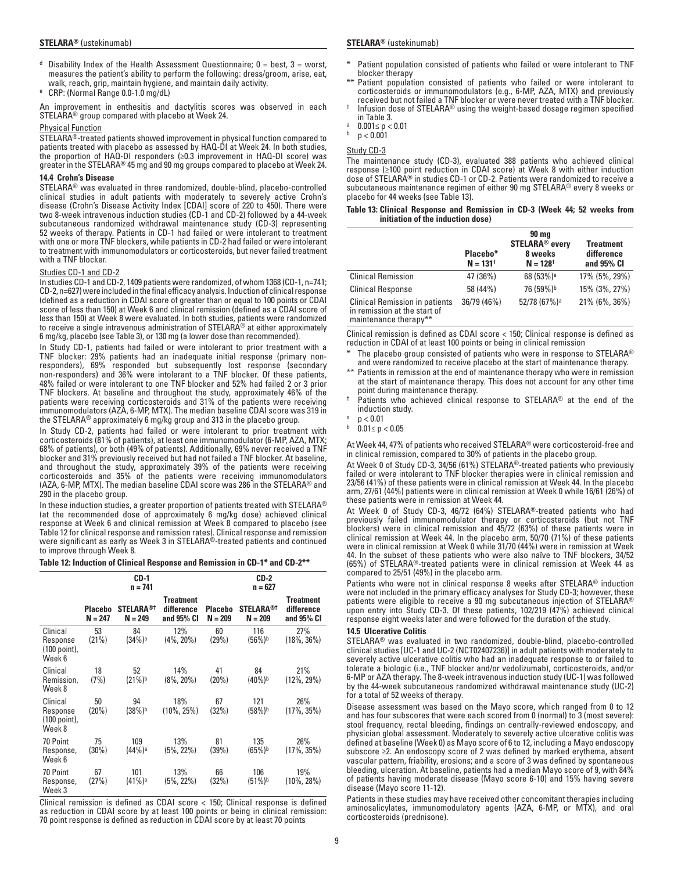- <sup>d</sup> Disability Index of the Health Assessment Questionnaire;  $0 =$  best,  $3 =$  worst, measures the patient's ability to perform the following: dress/groom, arise, eat, walk, reach, grip, maintain hygiene, and maintain daily activity.
- <sup>e</sup> CRP: (Normal Range 0.0-1.0 mg/dL)

An improvement in enthesitis and dactylitis scores was observed in each STELARA® group compared with placebo at Week 24.

#### Physical Function

STELARA®-treated patients showed improvement in physical function compared to patients treated with placebo as assessed by HAQ-DI at Week 24. In both studies, the proportion of HAQ-DI responders (≥0.3 improvement in HAQ-DI score) was greater in the STELARA® 45 mg and 90 mg groups compared to placebo at Week 24.

### **14.4 Crohn's Disease**

STELARA® was evaluated in three randomized, double-blind, placebo-controlled clinical studies in adult patients with moderately to severely active Crohn's disease (Crohn's Disease Activity Index [CDAI] score of 220 to 450). There were two 8-week intravenous induction studies (CD-1 and CD-2) followed by a 44-week subcutaneous randomized withdrawal maintenance study (CD-3) representing 52 weeks of therapy. Patients in CD-1 had failed or were intolerant to treatment with one or more TNF blockers, while patients in CD-2 had failed or were intolerant to treatment with immunomodulators or corticosteroids, but never failed treatment with a TNF blocker.

#### Studies CD-1 and CD-2

In studies CD-1 and CD-2, 1409 patients were randomized, of whom 1368 (CD-1, n=741; CD-2, n=627) were included in the final efficacy analysis. Induction of clinical response (defined as a reduction in CDAI score of greater than or equal to 100 points or CDAI score of less than 150) at Week 6 and clinical remission (defined as a CDAI score of less than 150) at Week 8 were evaluated. In both studies, patients were randomized to receive a single intravenous administration of STELARA® at either approximately 6 mg/kg, placebo (see Table 3), or 130 mg (a lower dose than recommended).

In Study CD-1, patients had failed or were intolerant to prior treatment with a TNF blocker: 29% patients had an inadequate initial response (primary nonresponders), 69% responded but subsequently lost response (secondary non-responders) and 36% were intolerant to a TNF blocker. Of these patients, 48% failed or were intolerant to one TNF blocker and 52% had failed 2 or 3 prior TNF blockers. At baseline and throughout the study, approximately 46% of the patients were receiving corticosteroids and 31% of the patients were receiving immunomodulators (AZA, 6-MP, MTX). The median baseline CDAI score was 319 in the STELARA® approximately 6 mg/kg group and 313 in the placebo group.

In Study CD-2, patients had failed or were intolerant to prior treatment with corticosteroids (81% of patients), at least one immunomodulator (6-MP, AZA, MTX; 68% of patients), or both (49% of patients). Additionally, 69% never received a TNF blocker and 31% previously received but had not failed a TNF blocker. At baseline, and throughout the study, approximately 39% of the patients were receiving corticosteroids and 35% of the patients were receiving immunomodulators (AZA, 6-MP, MTX). The median baseline CDAI score was 286 in the STELARA® and 290 in the placebo group.

In these induction studies, a greater proportion of patients treated with STELARA® (at the recommended dose of approximately 6 mg/kg dose) achieved clinical response at Week 6 and clinical remission at Week 8 compared to placebo (see Table 12 for clinical response and remission rates). Clinical response and remission were significant as early as Week 3 in STELARA®-treated patients and continued to improve through Week 8.

#### **Table 12: Induction of Clinical Response and Remission in CD-1\* and CD-2\*\***

|                                                |                             | CD-1<br>n = 741               |                                              | CD-2<br>$n = 627$           |                                |                                              |  |
|------------------------------------------------|-----------------------------|-------------------------------|----------------------------------------------|-----------------------------|--------------------------------|----------------------------------------------|--|
|                                                | <b>Placebo</b><br>$N = 247$ | <b>STELARA®T</b><br>$N = 249$ | <b>Treatment</b><br>difference<br>and 95% CI | <b>Placebo</b><br>$N = 209$ | <b>STELARA®</b> †<br>$N = 209$ | <b>Treatment</b><br>difference<br>and 95% CI |  |
| Clinical<br>Response<br>(100 point),<br>Week 6 | 53<br>(21%)                 | 84<br>(34%)a                  | 12%<br>$(4\%, 20\%)$                         | 60<br>(29%)                 | 116<br>(56%) <sup>b</sup>      | 27%<br>$(18\%, 36\%)$                        |  |
| Clinical<br>Remission.<br>Week 8               | 18<br>(7%)                  | 52<br>$(21\%)^b$              | 14%<br>$(8\%, 20\%)$                         | 41<br>(20%)                 | 84<br>$(40\%)^b$               | 21%<br>$(12\%, 29\%)$                        |  |
| Clinical<br>Response<br>(100 point),<br>Week 8 | 50<br>(20%)                 | 94<br>(38%) <sup>b</sup>      | 18%<br>$(10\%, 25\%)$                        | 67<br>(32%)                 | 121<br>(58%)b                  | 26%<br>$(17\%, 35\%)$                        |  |
| 70 Point<br>Response,<br>Week 6                | 75<br>(30%)                 | 109<br>(44%)ª                 | 13%<br>$(5\%, 22\%)$                         | 81<br>(39%)                 | 135<br>(65%) <sup>b</sup>      | 26%<br>$(17\%, 35\%)$                        |  |
| 70 Point<br>Response,<br>Week 3                | 67<br>(27%)                 | 101<br>(41%)ª                 | 13%<br>$(5\%, 22\%)$                         | 66<br>(32%)                 | 106<br>(51%)b                  | 19%<br>$(10\%, 28\%)$                        |  |

Clinical remission is defined as CDAI score < 150; Clinical response is defined as reduction in CDAI score by at least 100 points or being in clinical remission: 70 point response is defined as reduction in CDAI score by at least 70 points

- Patient population consisted of patients who failed or were intolerant to TNF blocker therapy
- \*\* Patient population consisted of patients who failed or were intolerant to corticosteroids or immunomodulators (e.g., 6-MP, AZA, MTX) and previously
- received but not failed a TNF blocker or were never treated with a TNF blocker.<br>Infusion dose of STELARA® using the weight-based dosage regimen specified in Table 3.<br>a 0.001≤ p < 0.01<br>b p < 0.001
- 
- 

Study CD-3

The maintenance study (CD-3), evaluated 388 patients who achieved clinical response (≥100 point reduction in CDAI score) at Week 8 with either induction dose of STELARA® in studies CD-1 or CD-2. Patients were randomized to receive a subcutaneous maintenance regimen of either 90 mg STELARA® every 8 weeks or placebo for 44 weeks (see Table 13).

#### **Table 13: Clinical Response and Remission in CD-3 (Week 44; 52 weeks from initiation of the induction dose)**

|                                                                                                | Placebo*<br>$N = 131^+$ | 90 mg<br><b>STELARA<sup>®</sup></b> every<br>8 weeks<br>$N = 128$ <sup>†</sup> | <b>Treatment</b><br>difference<br>and 95% CI |
|------------------------------------------------------------------------------------------------|-------------------------|--------------------------------------------------------------------------------|----------------------------------------------|
| <b>Clinical Remission</b>                                                                      | 47 (36%)                | 68 (53%) <sup>a</sup>                                                          | 17% (5%, 29%)                                |
| <b>Clinical Response</b>                                                                       | 58 (44%)                | 76 (59%) <sup>b</sup>                                                          | 15% (3%, 27%)                                |
| <b>Clinical Remission in patients</b><br>in remission at the start of<br>maintenance therapy** | 36/79 (46%)             | 52/78 (67%) <sup>a</sup>                                                       | 21% (6%, 36%)                                |

Clinical remission is defined as CDAI score < 150; Clinical response is defined as reduction in CDAI of at least 100 points or being in clinical remission

The placebo group consisted of patients who were in response to STELARA® and were randomized to receive placebo at the start of maintenance therapy.

- Patients in remission at the end of maintenance therapy who were in remission at the start of maintenance therapy. This does not account for any other time point during maintenance therapy.
- Patients who achieved clinical response to STELARA® at the end of the induction study.
- $p < 0.01$
- $0.01 ≤ p < 0.05$

At Week 44, 47% of patients who received STELARA® were corticosteroid-free and in clinical remission, compared to 30% of patients in the placebo group.

At Week 0 of Study CD-3, 34/56 (61%) STELARA®-treated patients who previously failed or were intolerant to TNF blocker therapies were in clinical remission and 23/56 (41%) of these patients were in clinical remission at Week 44. In the placebo arm, 27/61 (44%) patients were in clinical remission at Week 0 while 16/61 (26%) of these patients were in remission at Week 44.

At Week 0 of Study CD-3, 46/72 (64%) STELARA®-treated patients who had previously failed immunomodulator therapy or corticosteroids (but not TNF blockers) were in clinical remission and 45/72 (63%) of these patients were in clinical remission at Week 44. In the placebo arm, 50/70 (71%) of these patients were in clinical remission at Week 0 while 31/70 (44%) were in remission at Week 44. In the subset of these patients who were also naïve to TNF blockers, 34/52 (65%) of STELARA®-treated patients were in clinical remission at Week 44 as compared to 25/51 (49%) in the placebo arm.

Patients who were not in clinical response 8 weeks after STELARA® induction were not included in the primary efficacy analyses for Study CD-3; however, these patients were eligible to receive a 90 mg subcutaneous injection of STELARA® upon entry into Study CD-3. Of these patients, 102/219 (47%) achieved clinical response eight weeks later and were followed for the duration of the study.

#### **14.5 Ulcerative Colitis**

STELARA® was evaluated in two randomized, double-blind, placebo-controlled clinical studies [UC-1 and UC-2 (NCT02407236)] in adult patients with moderately to severely active ulcerative colitis who had an inadequate response to or failed to tolerate a biologic (i.e., TNF blocker and/or vedolizumab), corticosteroids, and/or 6-MP or AZA therapy. The 8-week intravenous induction study (UC-1) was followed by the 44-week subcutaneous randomized withdrawal maintenance study (UC-2) for a total of 52 weeks of therapy.

Disease assessment was based on the Mayo score, which ranged from 0 to 12 and has four subscores that were each scored from 0 (normal) to 3 (most severe): stool frequency, rectal bleeding, findings on centrally-reviewed endoscopy, and physician global assessment. Moderately to severely active ulcerative colitis was defined at baseline (Week 0) as Mayo score of 6 to 12, including a Mayo endoscopy subscore ≥2. An endoscopy score of 2 was defined by marked erythema, absent vascular pattern, friability, erosions; and a score of 3 was defined by spontaneous bleeding, ulceration. At baseline, patients had a median Mayo score of 9, with 84% of patients having moderate disease (Mayo score 6-10) and 15% having severe disease (Mayo score 11-12).

Patients in these studies may have received other concomitant therapies including aminosalicylates, immunomodulatory agents (AZA, 6-MP, or MTX), and oral corticosteroids (prednisone).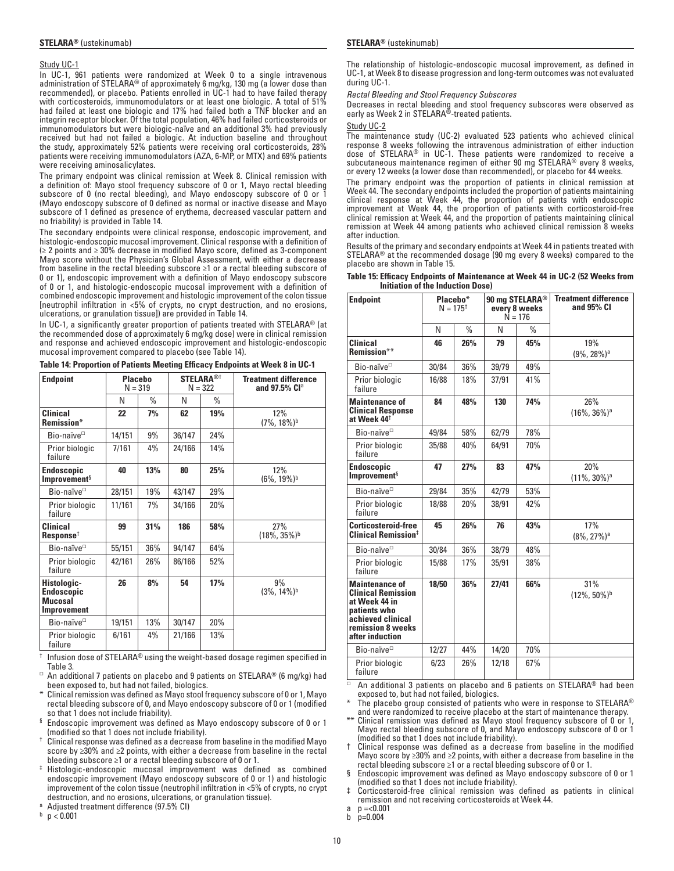#### Study UC-1

In UC-1, 961 patients were randomized at Week 0 to a single intravenous administration of STELARA® of approximately 6 mg/kg, 130 mg (a lower dose than recommended), or placebo. Patients enrolled in UC-1 had to have failed therapy with corticosteroids, immunomodulators or at least one biologic. A total of 51% had failed at least one biologic and 17% had failed both a TNF blocker and an integrin receptor blocker. Of the total population, 46% had failed corticosteroids or immunomodulators but were biologic-naïve and an additional 3% had previously received but had not failed a biologic. At induction baseline and throughout the study, approximately 52% patients were receiving oral corticosteroids, 28% patients were receiving immunomodulators (AZA, 6-MP, or MTX) and 69% patients were receiving aminosalicylates.

The primary endpoint was clinical remission at Week 8. Clinical remission with a definition of: Mayo stool frequency subscore of 0 or 1, Mayo rectal bleeding subscore of 0 (no rectal bleeding), and Mayo endoscopy subscore of 0 or 1 (Mayo endoscopy subscore of 0 defined as normal or inactive disease and Mayo subscore of 1 defined as presence of erythema, decreased vascular pattern and no friability) is provided in Table 14.

The secondary endpoints were clinical response, endoscopic improvement, and histologic-endoscopic mucosal improvement. Clinical response with a definition of (≥ 2 points and ≥ 30% decrease in modified Mayo score, defined as 3-component Mayo score without the Physician's Global Assessment, with either a decrease from baseline in the rectal bleeding subscore ≥1 or a rectal bleeding subscore of 0 or 1), endoscopic improvement with a definition of Mayo endoscopy subscore of 0 or 1, and histologic-endoscopic mucosal improvement with a definition of combined endoscopic improvement and histologic improvement of the colon tissue [neutrophil infiltration in <5% of crypts, no crypt destruction, and no erosions, ulcerations, or granulation tissue]) are provided in Table 14.

In UC-1, a significantly greater proportion of patients treated with STELARA® (at the recommended dose of approximately 6 mg/kg dose) were in clinical remission and response and achieved endoscopic improvement and histologic-endoscopic mucosal improvement compared to placebo (see Table 14).

**Table 14: Proportion of Patients Meeting Efficacy Endpoints at Week 8 in UC-1**

| <b>Endpoint</b>                                                   | <b>Placebo</b><br>$N = 319$ |      | <b>STELARA®</b> †<br>$N = 322$ |      |                                    |  | <b>Treatment difference</b><br>and 97.5% Cl <sup>a</sup> |
|-------------------------------------------------------------------|-----------------------------|------|--------------------------------|------|------------------------------------|--|----------------------------------------------------------|
|                                                                   | N                           | $\%$ | N                              | $\%$ |                                    |  |                                                          |
| <b>Clinical</b><br>Remission*                                     | 22                          | 7%   | 62                             | 19%  | 12%<br>$(7\% , 18\%)$ <sup>b</sup> |  |                                                          |
| Bio-naïve <sup>□</sup>                                            | 14/151                      | 9%   | 36/147                         | 24%  |                                    |  |                                                          |
| Prior biologic<br>failure                                         | 7/161                       | 4%   | 24/166                         | 14%  |                                    |  |                                                          |
| Endoscopic<br>Improvement <sup>§</sup>                            | 40                          | 13%  | 80                             | 25%  | 12%<br>$(6\%, 19\%)$ <sup>b</sup>  |  |                                                          |
| Bio-naïve <sup>□</sup>                                            | 28/151                      | 19%  | 43/147                         | 29%  |                                    |  |                                                          |
| Prior biologic<br>failure                                         | 11/161                      | 7%   | 34/166                         | 20%  |                                    |  |                                                          |
| <b>Clinical</b><br>Response <sup>†</sup>                          | 99                          | 31%  | 186                            | 58%  | 27%<br>(18%, 35%) <sup>b</sup>     |  |                                                          |
| Bio-naïve <sup>□</sup>                                            | 55/151                      | 36%  | 94/147                         | 64%  |                                    |  |                                                          |
| Prior biologic<br>failure                                         | 42/161                      | 26%  | 86/166                         | 52%  |                                    |  |                                                          |
| Histologic-<br><b>Endoscopic</b><br>Mucosal<br><b>Improvement</b> | 26                          | 8%   | 54                             | 17%  | 9%<br>$(3\% , 14\%)$ <sup>b</sup>  |  |                                                          |
| Bio-naïve <sup>□</sup>                                            | 19/151                      | 13%  | 30/147                         | 20%  |                                    |  |                                                          |
| Prior biologic<br>failure                                         | 6/161                       | 4%   | 21/166                         | 13%  |                                    |  |                                                          |

 $\dagger$  Infusion dose of STELARA® using the weight-based dosage regimen specified in Table 3.

□ An additional 7 patients on placebo and 9 patients on STELARA® (6 mg/kg) had been exposed to, but had not failed, biologics.

- \* Clinical remission was defined as Mayo stool frequency subscore of 0 or 1, Mayo rectal bleeding subscore of 0, and Mayo endoscopy subscore of 0 or 1 (modified so that 1 does not include friability).
- § Endoscopic improvement was defined as Mayo endoscopy subscore of 0 or 1
- $^\dagger$  Clinical response was defined as a decrease from baseline in the modified Mayo score by ≥30% and ≥2 points, with either a decrease from baseline in the rectal bleeding subscore ≥1 or a rectal bleeding subscore of 0 or 1.
- ‡ Histologic-endoscopic mucosal improvement was defined as combined endoscopic improvement (Mayo endoscopy subscore of 0 or 1) and histologic improvement of the colon tissue (neutrophil infiltration in <5% of crypts, no crypt destruction, and no erosions, ulcerations, or granulation tissue).
- <sup>a</sup> Adjusted treatment difference (97.5% CI)

 $p < 0.001$ 

The relationship of histologic-endoscopic mucosal improvement, as defined in UC-1, at Week 8 to disease progression and long-term outcomes was not evaluated during UC-1.

*Rectal Bleeding and Stool Frequency Subscores*

Decreases in rectal bleeding and stool frequency subscores were observed as early as Week 2 in STELARA®-treated patients.

#### Study UC-2

The maintenance study (UC-2) evaluated 523 patients who achieved clinical response 8 weeks following the intravenous administration of either induction dose of STELARA® in UC-1. These patients were randomized to receive a subcutaneous maintenance regimen of either 90 mg STELARA® every 8 weeks, or every 12 weeks (a lower dose than recommended), or placebo for 44 weeks.

The primary endpoint was the proportion of patients in clinical remission at Week 44. The secondary endpoints included the proportion of patients maintaining clinical response at Week 44, the proportion of patients with endoscopic improvement at Week 44, the proportion of patients with corticosteroid-free clinical remission at Week 44, and the proportion of patients maintaining clinical remission at Week 44 among patients who achieved clinical remission 8 weeks after induction.

Results of the primary and secondary endpoints at Week 44 in patients treated with STELARA® at the recommended dosage (90 mg every 8 weeks) compared to the placebo are shown in Table 15.

| <b>Endpoint</b>                                                                                                                                  | Placebo*<br>$N = 175^{+}$<br>every 8 weeks<br>$N = 176$ |               | 90 mg STELARA <sup>®</sup> |      | <b>Treatment difference</b><br>and 95% CI |
|--------------------------------------------------------------------------------------------------------------------------------------------------|---------------------------------------------------------|---------------|----------------------------|------|-------------------------------------------|
|                                                                                                                                                  | N                                                       | $\frac{0}{0}$ | N                          | $\%$ |                                           |
| <b>Clinical</b><br>Remission**                                                                                                                   | 46                                                      | 26%           | 79                         | 45%  | 19%<br>$(9\%, 28\%)$ <sup>a</sup>         |
| Bio-naïve <sup>□</sup>                                                                                                                           | 30/84                                                   | 36%           | 39/79                      | 49%  |                                           |
| Prior biologic<br>failure                                                                                                                        | 16/88                                                   | 18%           | 37/91                      | 41%  |                                           |
| <b>Maintenance of</b><br><b>Clinical Response</b><br>at Week 44 <sup>t</sup>                                                                     | 84                                                      | 48%           | 130                        | 74%  | 26%<br>$(16\%, 36\%)$ <sup>a</sup>        |
| Bio-naïve <sup>D</sup>                                                                                                                           | 49/84                                                   | 58%           | 62/79                      | 78%  |                                           |
| Prior biologic<br>failure                                                                                                                        | 35/88                                                   | 40%           | 64/91                      | 70%  |                                           |
| <b>Endoscopic</b><br>Improvement <sup>§</sup>                                                                                                    | 47                                                      | 27%           | 83                         | 47%  | 20%<br>$(11\%, 30\%)$ <sup>a</sup>        |
| Bio-naïve <sup>D</sup>                                                                                                                           | 29/84                                                   | 35%           | 42/79                      | 53%  |                                           |
| Prior biologic<br>failure                                                                                                                        | 18/88                                                   | 20%           | 38/91                      | 42%  |                                           |
| Corticosteroid-free<br>Clinical Remission <sup>‡</sup>                                                                                           | 45                                                      | 26%           | 76                         | 43%  | 17%<br>$(8\%, 27\%)$ <sup>a</sup>         |
| Bio-naïve <sup>D</sup>                                                                                                                           | 30/84                                                   | 36%           | 38/79                      | 48%  |                                           |
| Prior biologic<br>failure                                                                                                                        | 15/88                                                   | 17%           | 35/91                      | 38%  |                                           |
| <b>Maintenance of</b><br><b>Clinical Remission</b><br>at Week 44 in<br>patients who<br>achieved clinical<br>remission 8 weeks<br>after induction | 18/50                                                   | 36%           | 27/41                      | 66%  | 31%<br>$(12\%, 50\%)$ <sup>b</sup>        |
| Bio-naïve <sup>□</sup>                                                                                                                           | 12/27                                                   | 44%           | 14/20                      | 70%  |                                           |
| Prior biologic<br>failure                                                                                                                        | 6/23                                                    | 26%           | 12/18                      | 67%  |                                           |

**Table 15: Efficacy Endpoints of Maintenance at Week 44 in UC-2 (52 Weeks from Initiation of the Induction Dose)** 

□ An additional 3 patients on placebo and 6 patients on STELARA® had been exposed to, but had not failed, biologics.

The placebo group consisted of patients who were in response to STELARA<sup>®</sup> and were randomized to receive placebo at the start of maintenance therapy.

\*\* Clinical remission was defined as Mayo stool frequency subscore of 0 or 1, Mayo rectal bleeding subscore of 0, and Mayo endoscopy subscore of 0 or 1 (modified so that 1 does not include friability).

† Clinical response was defined as a decrease from baseline in the modified Mayo score by ≥30% and ≥2 points, with either a decrease from baseline in the rectal bleeding subscore ≥1 or a rectal bleeding subscore of 0 or 1.

§ Endoscopic improvement was defined as Mayo endoscopy subscore of 0 or 1 (modified so that 1 does not include friability).

‡ Corticosteroid-free clinical remission was defined as patients in clinical remission and not receiving corticosteroids at Week 44.

a  $p = 0.001$ <br>b  $p = 0.004$ 

p=0.004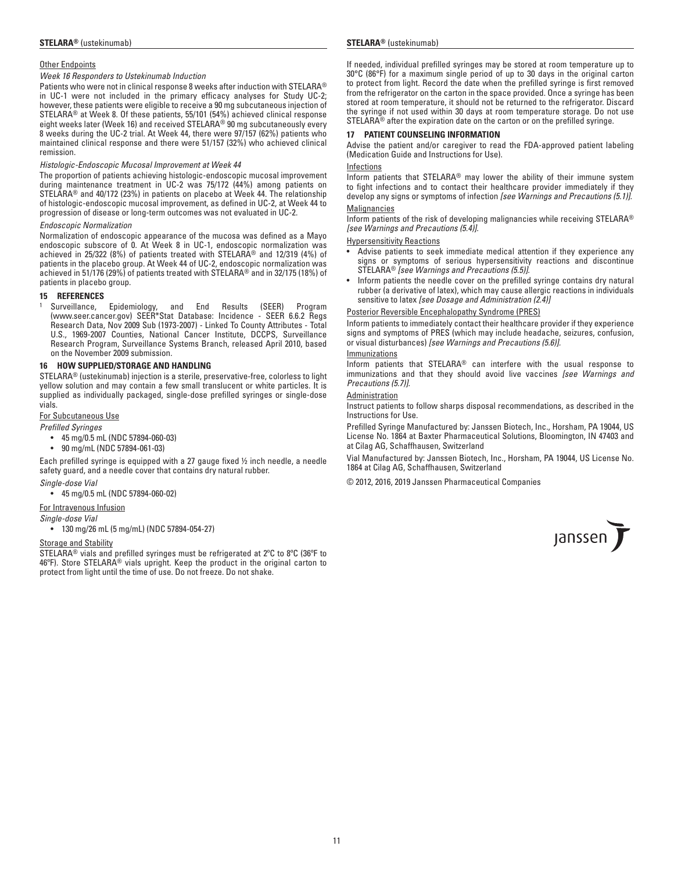#### Other Endpoints

### *Week 16 Responders to Ustekinumab Induction*

Patients who were not in clinical response 8 weeks after induction with STELARA® in UC-1 were not included in the primary efficacy analyses for Study UC-2; however, these patients were eligible to receive a 90 mg subcutaneous injection of STELARA® at Week 8. Of these patients, 55/101 (54%) achieved clinical response eight weeks later (Week 16) and received STELARA® 90 mg subcutaneously every 8 weeks during the UC-2 trial. At Week 44, there were 97/157 (62%) patients who maintained clinical response and there were 51/157 (32%) who achieved clinical remission.

#### *Histologic-Endoscopic Mucosal Improvement at Week 44*

The proportion of patients achieving histologic-endoscopic mucosal improvement during maintenance treatment in UC-2 was 75/172 (44%) among patients on STELARA® and 40/172 (23%) in patients on placebo at Week 44. The relationship of histologic-endoscopic mucosal improvement, as defined in UC-2, at Week 44 to progression of disease or long-term outcomes was not evaluated in UC-2.

#### *Endoscopic Normalization*

Normalization of endoscopic appearance of the mucosa was defined as a Mayo endoscopic subscore of 0. At Week 8 in UC-1, endoscopic normalization was achieved in 25/322 (8%) of patients treated with STELARA® and 12/319 (4%) of patients in the placebo group. At Week 44 of UC-2, endoscopic normalization was achieved in 51/176 (29%) of patients treated with STELARA® and in 32/175 (18%) of patients in placebo group.

#### **15 REFERENCES**

<sup>1</sup> Surveillance, Epidemiology, and End Results (SEER) Program (www.seer.cancer.gov) SEER\*Stat Database: Incidence - SEER 6.6.2 Regs Research Data, Nov 2009 Sub (1973-2007) - Linked To County Attributes - Total U.S., 1969-2007 Counties, National Cancer Institute, DCCPS, Surveillance Research Program, Surveillance Systems Branch, released April 2010, based on the November 2009 submission.

#### **16 HOW SUPPLIED/STORAGE AND HANDLING**

STELARA® (ustekinumab) injection is a sterile, preservative-free, colorless to light yellow solution and may contain a few small translucent or white particles. It is supplied as individually packaged, single-dose prefilled syringes or single-dose vials.

#### For Subcutaneous Use

*Prefilled Syringes*

- 45 mg/0.5 mL (NDC 57894-060-03)
	- 90 mg/mL (NDC 57894-061-03)

Each prefilled syringe is equipped with a 27 gauge fixed ½ inch needle, a needle safety guard, and a needle cover that contains dry natural rubber.

#### *Single-dose Vial*

• 45 mg/0.5 mL (NDC 57894-060-02)

### For Intravenous Infusion

#### *Single-dose Vial*

• 130 mg/26 mL (5 mg/mL) (NDC 57894-054-27)

#### Storage and Stability

STELARA® vials and prefilled syringes must be refrigerated at 2ºC to 8ºC (36ºF to 46ºF). Store STELARA® vials upright. Keep the product in the original carton to protect from light until the time of use. Do not freeze. Do not shake.

#### **STELARA®** (ustekinumab) **STELARA®** (ustekinumab)

If needed, individual prefilled syringes may be stored at room temperature up to 30°C (86°F) for a maximum single period of up to 30 days in the original carton to protect from light. Record the date when the prefilled syringe is first removed from the refrigerator on the carton in the space provided. Once a syringe has been stored at room temperature, it should not be returned to the refrigerator. Discard the syringe if not used within 30 days at room temperature storage. Do not use STELARA® after the expiration date on the carton or on the prefilled syringe.

#### **17 PATIENT COUNSELING INFORMATION**

Advise the patient and/or caregiver to read the FDA-approved patient labeling (Medication Guide and Instructions for Use).

#### Infections

Inform patients that STELARA® may lower the ability of their immune system to fight infections and to contact their healthcare provider immediately if they develop any signs or symptoms of infection *[see Warnings and Precautions (5.1)].*

### **Malignancies**

Inform patients of the risk of developing malignancies while receiving STELARA® *[see Warnings and Precautions (5.4)].*

#### Hypersensitivity Reactions

- Advise patients to seek immediate medical attention if they experience any signs or symptoms of serious hypersensitivity reactions and discontinue STELARA® *[see Warnings and Precautions (5.5)].*
- Inform patients the needle cover on the prefilled syringe contains dry natural rubber (a derivative of latex), which may cause allergic reactions in individuals sensitive to latex *[see Dosage and Administration (2.4)]*

#### Posterior Reversible Encephalopathy Syndrome (PRES)

Inform patients to immediately contact their healthcare provider if they experience signs and symptoms of PRES (which may include headache, seizures, confusion, or visual disturbances) *[see Warnings and Precautions (5.6)].*

#### Immunizations

Inform patients that STELARA® can interfere with the usual response to immunizations and that they should avoid live vaccines *[see Warnings and Precautions (5.7)].*

### Administration

Instruct patients to follow sharps disposal recommendations, as described in the Instructions for Use.

Prefilled Syringe Manufactured by: Janssen Biotech, Inc., Horsham, PA 19044, US License No. 1864 at Baxter Pharmaceutical Solutions, Bloomington, IN 47403 and at Cilag AG, Schaffhausen, Switzerland

Vial Manufactured by: Janssen Biotech, Inc., Horsham, PA 19044, US License No. 1864 at Cilag AG, Schaffhausen, Switzerland

© 2012, 2016, 2019 Janssen Pharmaceutical Companies

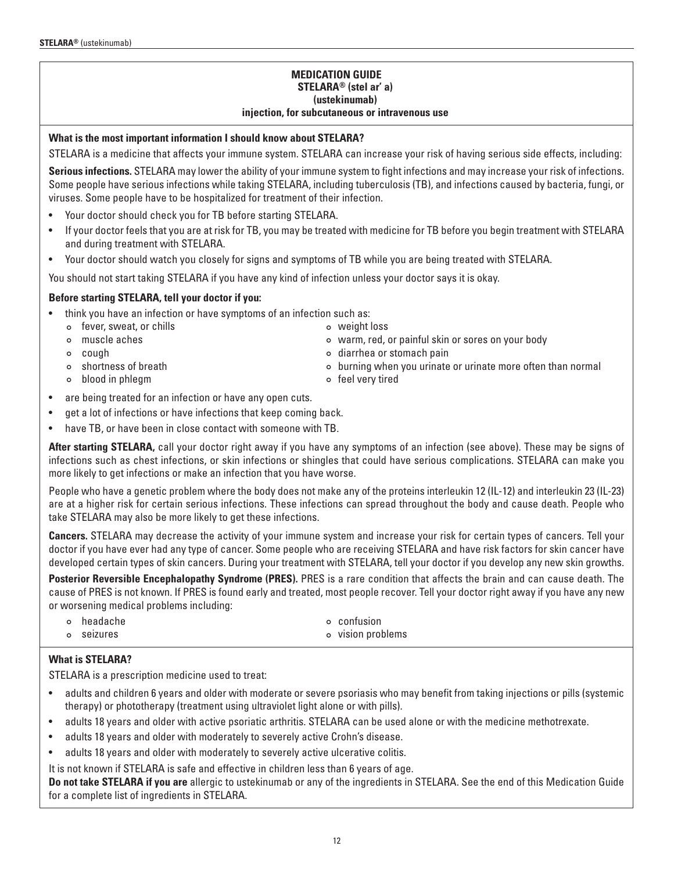## **MEDICATION GUIDE STELARA® (stel ar' a) (ustekinumab) injection, for subcutaneous or intravenous use**

## **What is the most important information I should know about STELARA?**

STELARA is a medicine that affects your immune system. STELARA can increase your risk of having serious side effects, including:

**Serious infections.** STELARA may lower the ability of your immune system to fight infections and may increase your risk of infections. Some people have serious infections while taking STELARA, including tuberculosis (TB), and infections caused by bacteria, fungi, or viruses. Some people have to be hospitalized for treatment of their infection.

- Your doctor should check you for TB before starting STELARA.
- If your doctor feels that you are at risk for TB, you may be treated with medicine for TB before you begin treatment with STELARA and during treatment with STELARA.
- Your doctor should watch you closely for signs and symptoms of TB while you are being treated with STELARA.

You should not start taking STELARA if you have any kind of infection unless your doctor says it is okay.

## **Before starting STELARA, tell your doctor if you:**

- think you have an infection or have symptoms of an infection such as:
	- ¢ fever, sweat, or chills ¢ weight loss
	- ¢ muscle aches ¢ warm, red, or painful skin or sores on your body
	-
	-
	- ¢ blood in phlegm ¢ feel very tired
- - ¢ cough ¢ diarrhea or stomach pain
	- ¢ shortness of breath ¢ burning when you urinate or urinate more often than normal
		-
- are being treated for an infection or have any open cuts.
- get a lot of infections or have infections that keep coming back.
- have TB, or have been in close contact with someone with TB.

**After starting STELARA,** call your doctor right away if you have any symptoms of an infection (see above). These may be signs of infections such as chest infections, or skin infections or shingles that could have serious complications. STELARA can make you more likely to get infections or make an infection that you have worse.

People who have a genetic problem where the body does not make any of the proteins interleukin 12 (IL-12) and interleukin 23 (IL-23) are at a higher risk for certain serious infections. These infections can spread throughout the body and cause death. People who take STELARA may also be more likely to get these infections.

**Cancers.** STELARA may decrease the activity of your immune system and increase your risk for certain types of cancers. Tell your doctor if you have ever had any type of cancer. Some people who are receiving STELARA and have risk factors for skin cancer have developed certain types of skin cancers. During your treatment with STELARA, tell your doctor if you develop any new skin growths.

**Posterior Reversible Encephalopathy Syndrome (PRES).** PRES is a rare condition that affects the brain and can cause death. The cause of PRES is not known. If PRES is found early and treated, most people recover. Tell your doctor right away if you have any new or worsening medical problems including:

| o headache | o confusion       |
|------------|-------------------|
| o seizures | o vision problems |

## **What is STELARA?**

STELARA is a prescription medicine used to treat:

- adults and children 6 years and older with moderate or severe psoriasis who may benefit from taking injections or pills (systemic therapy) or phototherapy (treatment using ultraviolet light alone or with pills).
- adults 18 years and older with active psoriatic arthritis. STELARA can be used alone or with the medicine methotrexate.
- adults 18 years and older with moderately to severely active Crohn's disease.
- adults 18 years and older with moderately to severely active ulcerative colitis.

It is not known if STELARA is safe and effective in children less than 6 years of age.

**Do not take STELARA if you are** allergic to ustekinumab or any of the ingredients in STELARA. See the end of this Medication Guide for a complete list of ingredients in STELARA.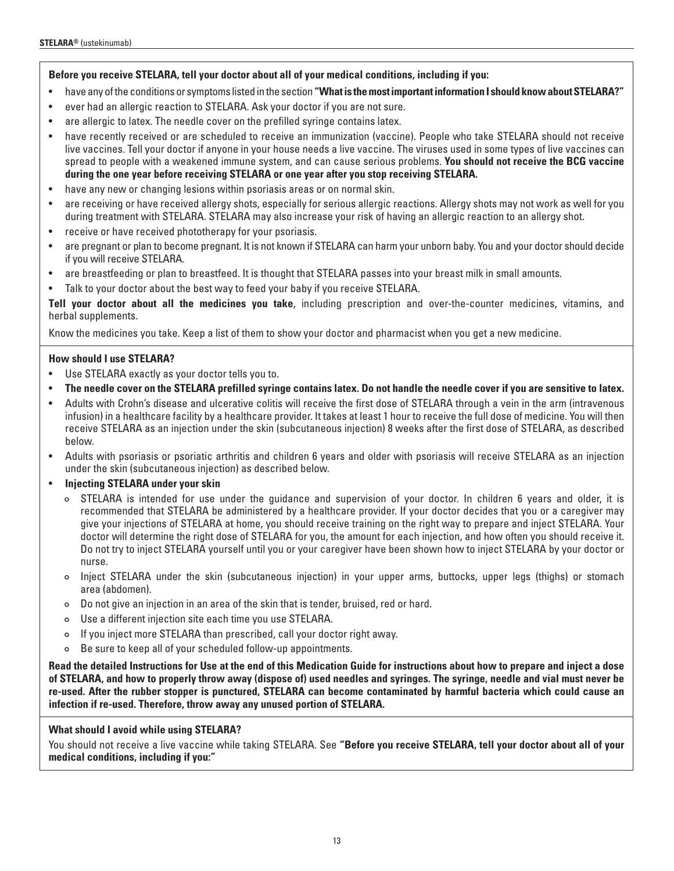## **Before you receive STELARA, tell your doctor about all of your medical conditions, including if you:**

- have any of the conditions or symptoms listed in the section **"What is the most important information I should know about STELARA?"**
- ever had an allergic reaction to STELARA. Ask your doctor if you are not sure.
- are allergic to latex. The needle cover on the prefilled syringe contains latex.
- have recently received or are scheduled to receive an immunization (vaccine). People who take STELARA should not receive live vaccines. Tell your doctor if anyone in your house needs a live vaccine. The viruses used in some types of live vaccines can spread to people with a weakened immune system, and can cause serious problems. **You should not receive the BCG vaccine during the one year before receiving STELARA or one year after you stop receiving STELARA.**
- have any new or changing lesions within psoriasis areas or on normal skin.
- are receiving or have received allergy shots, especially for serious allergic reactions. Allergy shots may not work as well for you during treatment with STELARA. STELARA may also increase your risk of having an allergic reaction to an allergy shot.
- receive or have received phototherapy for your psoriasis.
- are pregnant or plan to become pregnant. It is not known if STELARA can harm your unborn baby. You and your doctor should decide if you will receive STELARA.
- are breastfeeding or plan to breastfeed. It is thought that STELARA passes into your breast milk in small amounts.
- Talk to your doctor about the best way to feed your baby if you receive STELARA.

**Tell your doctor about all the medicines you take**, including prescription and over-the-counter medicines, vitamins, and herbal supplements.

Know the medicines you take. Keep a list of them to show your doctor and pharmacist when you get a new medicine.

## **How should I use STELARA?**

- Use STELARA exactly as your doctor tells you to.
- **The needle cover on the STELARA prefilled syringe contains latex. Do not handle the needle cover if you are sensitive to latex.**
- Adults with Crohn's disease and ulcerative colitis will receive the first dose of STELARA through a vein in the arm (intravenous infusion) in a healthcare facility by a healthcare provider. It takes at least 1 hour to receive the full dose of medicine. You will then receive STELARA as an injection under the skin (subcutaneous injection) 8 weeks after the first dose of STELARA, as described below.
- Adults with psoriasis or psoriatic arthritis and children 6 years and older with psoriasis will receive STELARA as an injection under the skin (subcutaneous injection) as described below.
- **Injecting STELARA under your skin**
	- ¢ STELARA is intended for use under the guidance and supervision of your doctor. In children 6 years and older, it is recommended that STELARA be administered by a healthcare provider. If your doctor decides that you or a caregiver may give your injections of STELARA at home, you should receive training on the right way to prepare and inject STELARA. Your doctor will determine the right dose of STELARA for you, the amount for each injection, and how often you should receive it. Do not try to inject STELARA yourself until you or your caregiver have been shown how to inject STELARA by your doctor or nurse.
	- ¢ Inject STELARA under the skin (subcutaneous injection) in your upper arms, buttocks, upper legs (thighs) or stomach area (abdomen).
	- ¢ Do not give an injection in an area of the skin that is tender, bruised, red or hard.
	- ¢ Use a different injection site each time you use STELARA.
	- ¢ If you inject more STELARA than prescribed, call your doctor right away.
	- ¢ Be sure to keep all of your scheduled follow-up appointments.

**Read the detailed Instructions for Use at the end of this Medication Guide for instructions about how to prepare and inject a dose of STELARA, and how to properly throw away (dispose of) used needles and syringes. The syringe, needle and vial must never be re-used. After the rubber stopper is punctured, STELARA can become contaminated by harmful bacteria which could cause an infection if re-used. Therefore, throw away any unused portion of STELARA.** 

## **What should I avoid while using STELARA?**

You should not receive a live vaccine while taking STELARA. See **"Before you receive STELARA, tell your doctor about all of your medical conditions, including if you:"**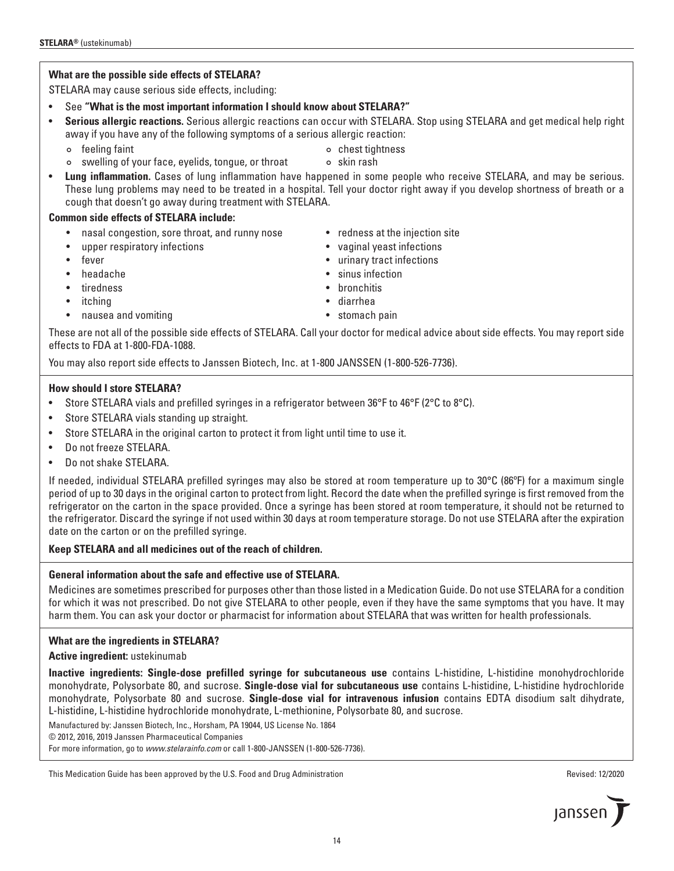## **What are the possible side effects of STELARA?**

STELARA may cause serious side effects, including:

- See **"What is the most important information I should know about STELARA?"**
- **Serious allergic reactions.** Serious allergic reactions can occur with STELARA. Stop using STELARA and get medical help right away if you have any of the following symptoms of a serious allergic reaction:
	- ¢ feeling faint ¢ chest tightness
	- ¢ swelling of your face, eyelids, tongue, or throat ¢ skin rash

• **Lung inflammation.** Cases of lung inflammation have happened in some people who receive STELARA, and may be serious. These lung problems may need to be treated in a hospital. Tell your doctor right away if you develop shortness of breath or a cough that doesn't go away during treatment with STELARA.

## **Common side effects of STELARA include:**

- nasal congestion, sore throat, and runny nose redness at the injection site
- upper respiratory infections vaginal yeast infections
- 
- headache sinus infection
- tiredness bronchitis
- itching diarrhea
- nausea and vomiting **•** stomach pain
- 
- 
- fever the state of the state of the state of the state of the state of the state of the state of the state of the state of the state of the state of the state of the state of the state of the state of the state of the
	-
	-
	-
	-

These are not all of the possible side effects of STELARA. Call your doctor for medical advice about side effects. You may report side effects to FDA at 1-800-FDA-1088.

You may also report side effects to Janssen Biotech, Inc. at 1-800 JANSSEN (1-800-526-7736).

## **How should I store STELARA?**

- Store STELARA vials and prefilled syringes in a refrigerator between 36°F to 46°F (2°C to 8°C).
- Store STELARA vials standing up straight.
- Store STELARA in the original carton to protect it from light until time to use it.
- Do not freeze STELARA.
- Do not shake STELARA.

If needed, individual STELARA prefilled syringes may also be stored at room temperature up to 30°C (86ºF) for a maximum single period of up to 30 days in the original carton to protect from light. Record the date when the prefilled syringe is first removed from the refrigerator on the carton in the space provided. Once a syringe has been stored at room temperature, it should not be returned to the refrigerator. Discard the syringe if not used within 30 days at room temperature storage. Do not use STELARA after the expiration date on the carton or on the prefilled syringe.

## **Keep STELARA and all medicines out of the reach of children.**

## **General information about the safe and effective use of STELARA.**

Medicines are sometimes prescribed for purposes other than those listed in a Medication Guide. Do not use STELARA for a condition for which it was not prescribed. Do not give STELARA to other people, even if they have the same symptoms that you have. It may harm them. You can ask your doctor or pharmacist for information about STELARA that was written for health professionals.

## **What are the ingredients in STELARA?**

**Active ingredient:** ustekinumab

**Inactive ingredients: Single-dose prefilled syringe for subcutaneous use** contains L-histidine, L-histidine monohydrochloride monohydrate, Polysorbate 80, and sucrose. **Single-dose vial for subcutaneous use** contains L-histidine, L-histidine hydrochloride monohydrate, Polysorbate 80 and sucrose. **Single-dose vial for intravenous infusion** contains EDTA disodium salt dihydrate, L-histidine, L-histidine hydrochloride monohydrate, L-methionine, Polysorbate 80, and sucrose.

Manufactured by: Janssen Biotech, Inc., Horsham, PA 19044, US License No. 1864

© 2012, 2016, 2019 Janssen Pharmaceutical Companies

For more information, go to *www.stelarainfo.com* or call 1-800-JANSSEN (1-800-526-7736).

### This Medication Guide has been approved by the U.S. Food and Drug Administration **Revised: 12/2020** Revised: 12/2020



- -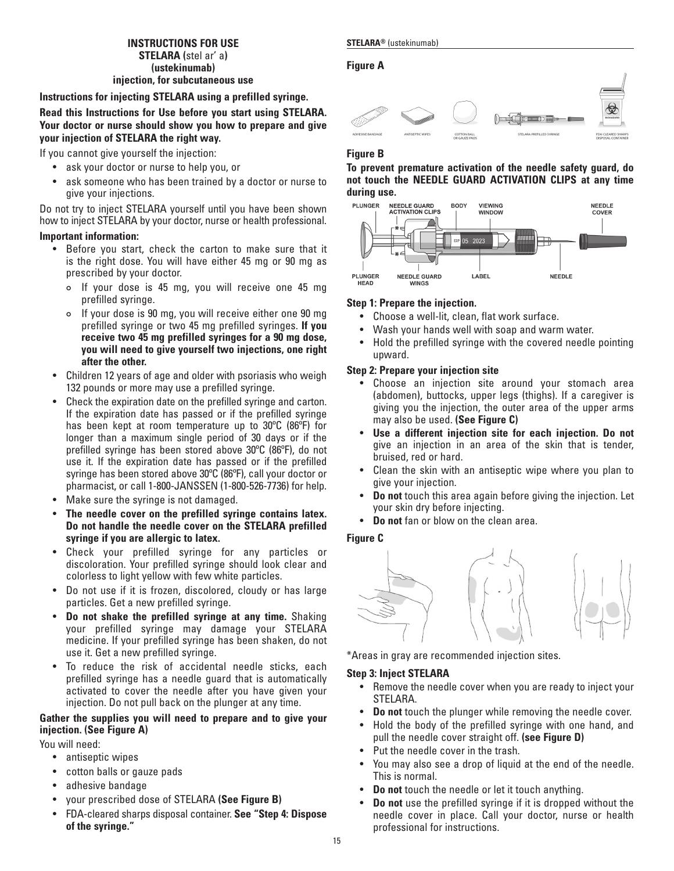## **INSTRUCTIONS FOR USE STELARA®** (ustekinumab) **STELARA (**stel ar' a**) (ustekinumab)**

## **Figure A**



## **Instructions for injecting STELARA using a prefilled syringe.**

**Read this Instructions for Use before you start using STELARA. Your doctor or nurse should show you how to prepare and give your injection of STELARA the right way.** 

If you cannot give yourself the injection:

- ask your doctor or nurse to help you, or
- ask someone who has been trained by a doctor or nurse to give your injections.

Do not try to inject STELARA yourself until you have been shown how to inject STELARA by your doctor, nurse or health professional.

## **Important information:**

- Before you start, check the carton to make sure that it is the right dose. You will have either 45 mg or 90 mg as prescribed by your doctor.
	- ¢ If your dose is 45 mg, you will receive one 45 mg prefilled syringe.
	- ¢ If your dose is 90 mg, you will receive either one 90 mg prefilled syringe or two 45 mg prefilled syringes. **If you receive two 45 mg prefilled syringes for a 90 mg dose, you will need to give yourself two injections, one right after the other.**
- Children 12 years of age and older with psoriasis who weigh 132 pounds or more may use a prefilled syringe.
- Check the expiration date on the prefilled syringe and carton. If the expiration date has passed or if the prefilled syringe has been kept at room temperature up to 30ºC (86ºF) for longer than a maximum single period of 30 days or if the prefilled syringe has been stored above 30ºC (86ºF), do not use it. If the expiration date has passed or if the prefilled syringe has been stored above 30ºC (86ºF), call your doctor or pharmacist, or call 1-800-JANSSEN (1-800-526-7736) for help.
- Make sure the syringe is not damaged.
- **The needle cover on the prefilled syringe contains latex. Do not handle the needle cover on the STELARA prefilled syringe if you are allergic to latex.**
- Check your prefilled syringe for any particles or discoloration. Your prefilled syringe should look clear and colorless to light yellow with few white particles.
- Do not use if it is frozen, discolored, cloudy or has large particles. Get a new prefilled syringe.
- **Do not shake the prefilled syringe at any time.** Shaking your prefilled syringe may damage your STELARA medicine. If your prefilled syringe has been shaken, do not use it. Get a new prefilled syringe.
- To reduce the risk of accidental needle sticks, each prefilled syringe has a needle guard that is automatically activated to cover the needle after you have given your injection. Do not pull back on the plunger at any time.

## **Gather the supplies you will need to prepare and to give your injection. (See Figure A)**

You will need:

- antiseptic wipes
- cotton balls or gauze pads
- adhesive bandage
- your prescribed dose of STELARA **(See Figure B)**
- FDA-cleared sharps disposal container. **See "Step 4: Dispose of the syringe."**



## **Figure B**

**To prevent premature activation of the needle safety guard, do not touch the NEEDLE GUARD ACTIVATION CLIPS at any time during use.** 



## **Step 1: Prepare the injection.**

- Choose a well-lit, clean, flat work surface.
- Wash your hands well with soap and warm water.
- Hold the prefilled syringe with the covered needle pointing upward.

## **Step 2: Prepare your injection site**

- Choose an injection site around your stomach area (abdomen), buttocks, upper legs (thighs). If a caregiver is giving you the injection, the outer area of the upper arms may also be used. **(See Figure C)**
- **Use a different injection site for each injection. Do not** give an injection in an area of the skin that is tender, bruised, red or hard.
- Clean the skin with an antiseptic wipe where you plan to give your injection.
- **Do not** touch this area again before giving the injection. Let your skin dry before injecting.
- **Do not** fan or blow on the clean area.

## **Figure C**



\*Areas in gray are recommended injection sites.

## **Step 3: Inject STELARA**

- Remove the needle cover when you are ready to inject your STELARA.
- **Do not** touch the plunger while removing the needle cover.
- Hold the body of the prefilled syringe with one hand, and pull the needle cover straight off. **(see Figure D)**
- Put the needle cover in the trash.
- You may also see a drop of liquid at the end of the needle. This is normal.
- **Do not** touch the needle or let it touch anything.
- **Do not** use the prefilled syringe if it is dropped without the needle cover in place. Call your doctor, nurse or health professional for instructions.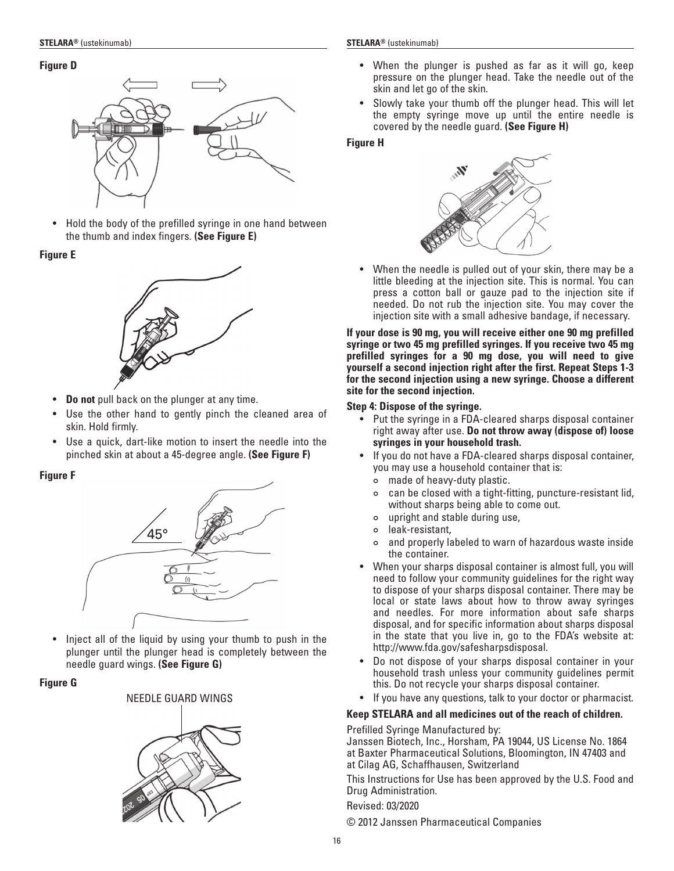## **Figure D**



• Hold the body of the prefilled syringe in one hand between the thumb and index fingers. **(See Figure E)**

## **Figure E**



- **Do not** pull back on the plunger at any time.
- Use the other hand to gently pinch the cleaned area of skin. Hold firmly.
- Use a quick, dart-like motion to insert the needle into the pinched skin at about a 45-degree angle. **(See Figure F)**

## **Figure F**



• Inject all of the liquid by using your thumb to push in the plunger until the plunger head is completely between the needle guard wings. **(See Figure G)**

## **Figure G**



- When the plunger is pushed as far as it will go, keep pressure on the plunger head. Take the needle out of the skin and let go of the skin.
- Slowly take your thumb off the plunger head. This will let the empty syringe move up until the entire needle is covered by the needle guard. **(See Figure H)**

## **Figure H**



• When the needle is pulled out of your skin, there may be a little bleeding at the injection site. This is normal. You can press a cotton ball or gauze pad to the injection site if needed. Do not rub the injection site. You may cover the injection site with a small adhesive bandage, if necessary.

**If your dose is 90 mg, you will receive either one 90 mg prefilled syringe or two 45 mg prefilled syringes. If you receive two 45 mg prefilled syringes for a 90 mg dose, you will need to give yourself a second injection right after the first. Repeat Steps 1-3 for the second injection using a new syringe. Choose a different site for the second injection.**

## **Step 4: Dispose of the syringe.**

- Put the syringe in a FDA-cleared sharps disposal container right away after use. **Do not throw away (dispose of) loose syringes in your household trash.**
- If you do not have a FDA-cleared sharps disposal container, you may use a household container that is:
	- ¢ made of heavy-duty plastic.
	- ¢ can be closed with a tight-fitting, puncture-resistant lid, without sharps being able to come out.
	- ¢ upright and stable during use,
	- ¢ leak-resistant,
	- ¢ and properly labeled to warn of hazardous waste inside the container.
- When your sharps disposal container is almost full, you will need to follow your community guidelines for the right way to dispose of your sharps disposal container. There may be local or state laws about how to throw away syringes and needles. For more information about safe sharps disposal, and for specific information about sharps disposal in the state that you live in, go to the FDA's website at: http://www.fda.gov/safesharpsdisposal.
- Do not dispose of your sharps disposal container in your household trash unless your community guidelines permit this. Do not recycle your sharps disposal container.
- If you have any questions, talk to your doctor or pharmacist.

## **Keep STELARA and all medicines out of the reach of children.**

Prefilled Syringe Manufactured by:

Janssen Biotech, Inc., Horsham, PA 19044, US License No. 1864 at Baxter Pharmaceutical Solutions, Bloomington, IN 47403 and at Cilag AG, Schaffhausen, Switzerland

This Instructions for Use has been approved by the U.S. Food and Drug Administration.

Revised: 03/2020

© 2012 Janssen Pharmaceutical Companies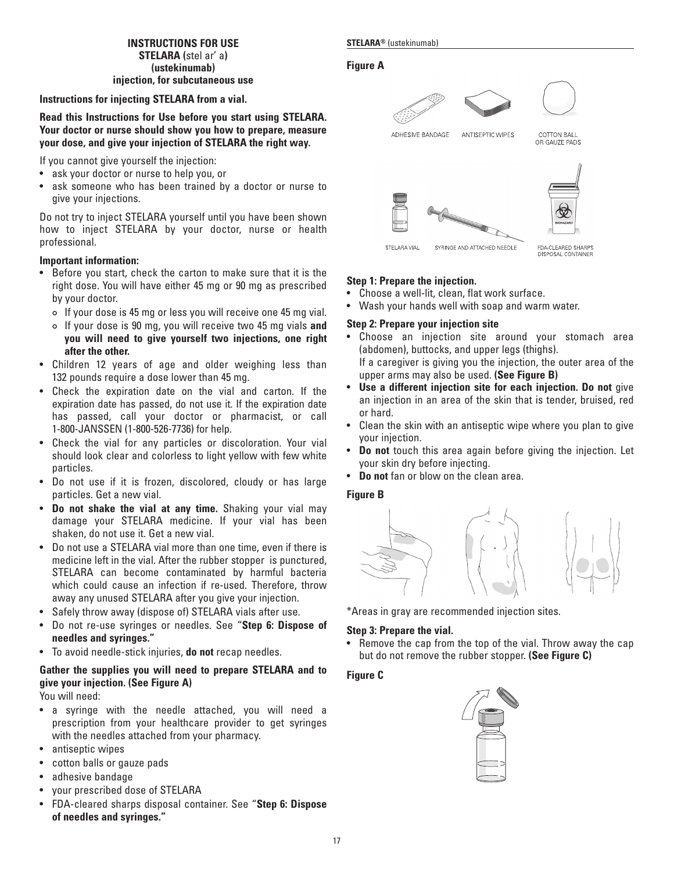## **INSTRUCTIONS FOR USE STELARA®** (ustekinumab) **STELARA (**stel ar' a**) (ustekinumab) injection, for subcutaneous use**

## **Instructions for injecting STELARA from a vial.**

## **Read this Instructions for Use before you start using STELARA. Your doctor or nurse should show you how to prepare, measure your dose, and give your injection of STELARA the right way.**

If you cannot give yourself the injection:

- ask your doctor or nurse to help you, or
- ask someone who has been trained by a doctor or nurse to give your injections.

Do not try to inject STELARA yourself until you have been shown how to inject STELARA by your doctor, nurse or health professional.

## **Important information:**

- Before you start, check the carton to make sure that it is the right dose. You will have either 45 mg or 90 mg as prescribed by your doctor.
	- ¢ If your dose is 45 mg or less you will receive one 45 mg vial.
	- ¢ If your dose is 90 mg, you will receive two 45 mg vials **and you will need to give yourself two injections, one right after the other.**
- Children 12 years of age and older weighing less than 132 pounds require a dose lower than 45 mg.
- Check the expiration date on the vial and carton. If the expiration date has passed, do not use it. If the expiration date has passed, call your doctor or pharmacist, or call 1-800-JANSSEN (1-800-526-7736) for help.
- Check the vial for any particles or discoloration. Your vial should look clear and colorless to light yellow with few white particles.
- Do not use if it is frozen, discolored, cloudy or has large particles. Get a new vial.
- **Do not shake the vial at any time.** Shaking your vial may damage your STELARA medicine. If your vial has been shaken, do not use it. Get a new vial.
- Do not use a STELARA vial more than one time, even if there is medicine left in the vial. After the rubber stopper is punctured, STELARA can become contaminated by harmful bacteria which could cause an infection if re-used. Therefore, throw away any unused STELARA after you give your injection.
- Safely throw away (dispose of) STELARA vials after use.
- Do not re-use syringes or needles. See "**Step 6: Dispose of needles and syringes."**
- To avoid needle-stick injuries, **do not** recap needles.

## **Gather the supplies you will need to prepare STELARA and to give your injection. (See Figure A)**

You will need:

- a syringe with the needle attached, you will need a prescription from your healthcare provider to get syringes with the needles attached from your pharmacy.
- antiseptic wipes
- cotton balls or gauze pads
- adhesive bandage
- your prescribed dose of STELARA
- FDA-cleared sharps disposal container. See "**Step 6: Dispose of needles and syringes."**

## **Figure A**



**COTTON BALL** OR GAUZE PADS

**DISPOSAL CONTAINER** 



SYRINGE AND ATTACHED NEEDLE

## **Step 1: Prepare the injection.**

- Choose a well-lit, clean, flat work surface.
- Wash your hands well with soap and warm water.

## **Step 2: Prepare your injection site**

- Choose an injection site around your stomach area (abdomen), buttocks, and upper legs (thighs). If a caregiver is giving you the injection, the outer area of the upper arms may also be used. **(See Figure B)**
- **Use a different injection site for each injection. Do not** give an injection in an area of the skin that is tender, bruised, red or hard.
- Clean the skin with an antiseptic wipe where you plan to give your injection.
- **Do not** touch this area again before giving the injection. Let your skin dry before injecting.
- **Do not** fan or blow on the clean area.

## **Figure B**



\*Areas in gray are recommended injection sites.

## **Step 3: Prepare the vial.**

• Remove the cap from the top of the vial. Throw away the cap but do not remove the rubber stopper. **(See Figure C)**

## **Figure C**

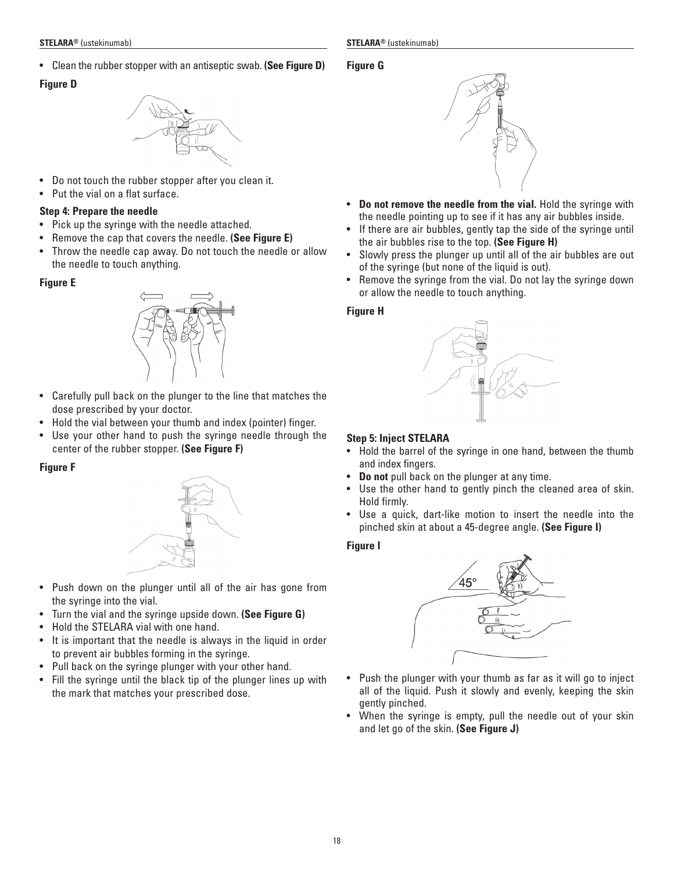• Clean the rubber stopper with an antiseptic swab. **(See Figure D)**

## **Figure D**



- Do not touch the rubber stopper after you clean it.
- Put the vial on a flat surface.

## **Step 4: Prepare the needle**

- Pick up the syringe with the needle attached.
- Remove the cap that covers the needle. **(See Figure E)**
- Throw the needle cap away. Do not touch the needle or allow the needle to touch anything.

## **Figure E**



- Carefully pull back on the plunger to the line that matches the dose prescribed by your doctor.
- Hold the vial between your thumb and index (pointer) finger.
- Use your other hand to push the syringe needle through the center of the rubber stopper. **(See Figure F)**

## **Figure F**



- Push down on the plunger until all of the air has gone from the syringe into the vial.
- Turn the vial and the syringe upside down. **(See Figure G)**
- Hold the STELARA vial with one hand.
- It is important that the needle is always in the liquid in order to prevent air bubbles forming in the syringe.
- Pull back on the syringe plunger with your other hand.
- Fill the syringe until the black tip of the plunger lines up with the mark that matches your prescribed dose.

## **Figure G**



- **Do not remove the needle from the vial.** Hold the syringe with the needle pointing up to see if it has any air bubbles inside.
- If there are air bubbles, gently tap the side of the syringe until the air bubbles rise to the top. **(See Figure H)**
- Slowly press the plunger up until all of the air bubbles are out of the syringe (but none of the liquid is out).
- Remove the syringe from the vial. Do not lay the syringe down or allow the needle to touch anything.

## **Figure H**



## **Step 5: Inject STELARA**

- Hold the barrel of the syringe in one hand, between the thumb and index fingers.
- **Do not** pull back on the plunger at any time.
- Use the other hand to gently pinch the cleaned area of skin. Hold firmly.
- Use a quick, dart-like motion to insert the needle into the pinched skin at about a 45-degree angle. **(See Figure I)**

## **Figure I**



- Push the plunger with your thumb as far as it will go to inject all of the liquid. Push it slowly and evenly, keeping the skin gently pinched.
- When the syringe is empty, pull the needle out of your skin and let go of the skin. **(See Figure J)**